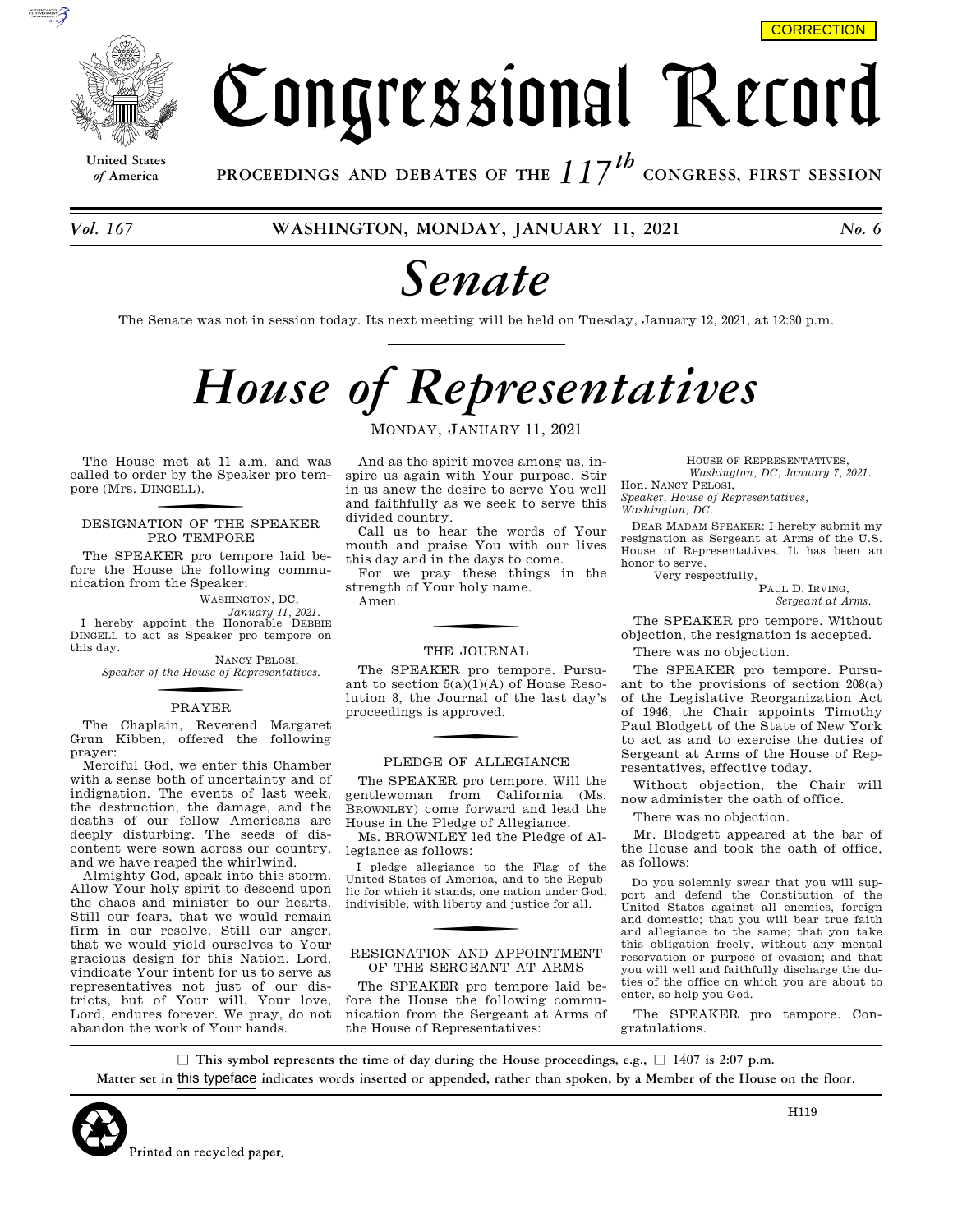

**United States**

Congressional Record

*of* **America PROCEEDINGS AND DEBATES OF THE** *117th*  **CONGRESS, FIRST SESSION**

*Vol. 167* **WASHINGTON, MONDAY, JANUARY 11, 2021** *No. 6* 

## *Senate*

The Senate was not in session today. Its next meeting will be held on Tuesday, January 12, 2021, at 12:30 p.m.

# *House of Representatives*

The House met at 11 a.m. and was called to order by the Speaker pro tempore (Mrs. DINGELL ).

### DESIGNATION OF THE SPEAKER PRO TEMPORE

The SPEAKER pro tempore laid before the House the following communication from the Speaker:

WASHINGTON, DC,

*January 11, 2021.*  I hereby appoint the Honorable DEBBIE DINGELL to act as Speaker pro tempore on this day.

NANCY PELOSI, *Speaker of the House of Representatives.* 

### f PRAYER

The Chaplain, Reverend Margaret Grun Kibben, offered the following prayer:

Merciful God, we enter this Chamber with a sense both of uncertainty and of indignation. The events of last week, the destruction, the damage, and the deaths of our fellow Americans are deeply disturbing. The seeds of discontent were sown across our country, and we have reaped the whirlwind.

Almighty God, speak into this storm. Allow Your holy spirit to descend upon the chaos and minister to our hearts. Still our fears, that we would remain firm in our resolve. Still our anger, that we would yield ourselves to Your gracious design for this Nation. Lord, vindicate Your intent for us to serve as representatives not just of our districts, but of Your will. Your love, Lord, endures forever. We pray, do not abandon the work of Your hands.

MONDAY, JANUARY 11, 2021

And as the spirit moves among us, inspire us again with Your purpose. Stir in us anew the desire to serve You well and faithfully as we seek to serve this divided country.

Call us to hear the words of Your mouth and praise You with our lives this day and in the days to come.

For we pray these things in the strength of Your holy name.

Amen.

#### THE JOURNAL

The SPEAKER pro tempore. Pursuant to section  $5(a)(1)(A)$  of House Resolution 8, the Journal of the last day's proceedings is approved.

#### PLEDGE OF ALLEGIANCE

The SPEAKER pro tempore. Will the gentlewoman from California (Ms. BROWNLEY) come forward and lead the House in the Pledge of Allegiance.

Ms. BROWNLEY led the Pledge of Allegiance as follows:

I pledge allegiance to the Flag of the United States of America, and to the Republic for which it stands, one nation under God, indivisible, with liberty and justice for all.

#### RESIGNATION AND APPOINTMENT OF THE SERGEANT AT ARMS

The SPEAKER pro tempore laid before the House the following communication from the Sergeant at Arms of the House of Representatives:

HOUSE OF REPRESENTATIVES, *Washington, DC, January 7, 2021.*  Hon. NANCY PELOSI, *Speaker, House of Representatives,* 

*Washington, DC.* 

DEAR MADAM SPEAKER: I hereby submit my resignation as Sergeant at Arms of the U.S. House of Representatives. It has been an honor to serve.

Very respectfully,

PAUL D. IRVING, *Sergeant at Arms.* 

The SPEAKER pro tempore. Without objection, the resignation is accepted.

There was no objection.

The SPEAKER pro tempore. Pursuant to the provisions of section 208(a) of the Legislative Reorganization Act of 1946, the Chair appoints Timothy Paul Blodgett of the State of New York to act as and to exercise the duties of Sergeant at Arms of the House of Representatives, effective today.

Without objection, the Chair will now administer the oath of office.

There was no objection.

Mr. Blodgett appeared at the bar of the House and took the oath of office, as follows:

Do you solemnly swear that you will support and defend the Constitution of the United States against all enemies, foreign and domestic; that you will bear true faith and allegiance to the same; that you take this obligation freely, without any mental reservation or purpose of evasion; and that you will well and faithfully discharge the duties of the office on which you are about to enter, so help you God.

The SPEAKER pro tempore. Congratulations.

 $\Box$  This symbol represents the time of day during the House proceedings, e.g.,  $\Box$  1407 is 2:07 p.m. **Matter set in** this typeface **indicates words inserted or appended, rather than spoken, by a Member of the House on the floor.**

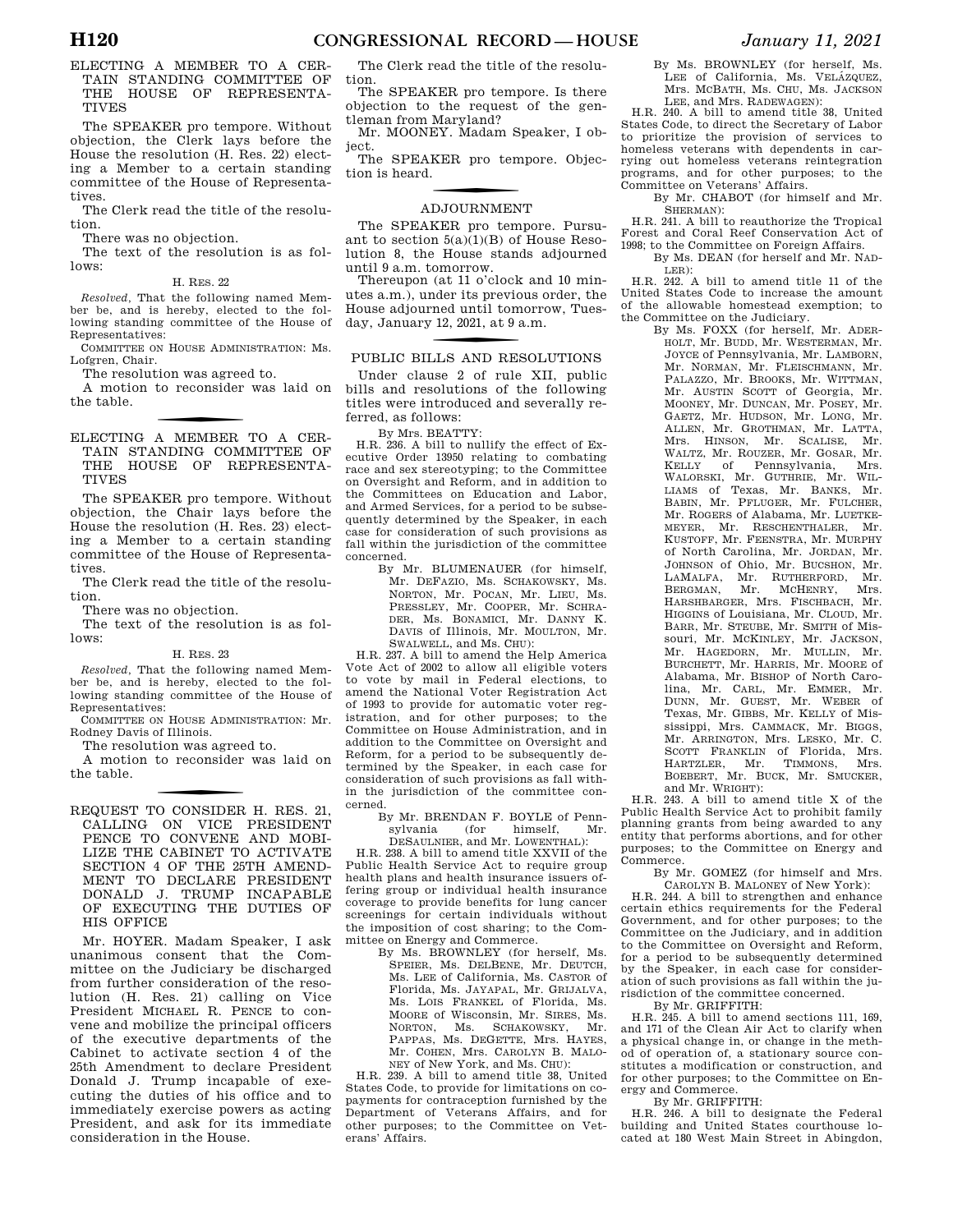#### ELECTING A MEMBER TO A CER-TAIN STANDING COMMITTEE OF THE HOUSE OF REPRESENTA-TIVES

The SPEAKER pro tempore. Without objection, the Clerk lays before the House the resolution (H. Res. 22) electing a Member to a certain standing committee of the House of Representatives.

The Clerk read the title of the resolution.

There was no objection.

The text of the resolution is as follows:

H. RES. 22

*Resolved,* That the following named Member be, and is hereby, elected to the following standing committee of the House of Representatives:

COMMITTEE ON HOUSE ADMINISTRATION: Ms. Lofgren, Chair.

The resolution was agreed to.

A motion to reconsider was laid on the table.

f ELECTING A MEMBER TO A CER-TAIN STANDING COMMITTEE OF THE HOUSE OF REPRESENTA-TIVES

The SPEAKER pro tempore. Without objection, the Chair lays before the House the resolution (H. Res. 23) electing a Member to a certain standing committee of the House of Representatives.

The Clerk read the title of the resolution.

There was no objection.

The text of the resolution is as follows:

#### H. RES. 23

*Resolved,* That the following named Member be, and is hereby, elected to the following standing committee of the House of Representatives:

COMMITTEE ON HOUSE ADMINISTRATION: Mr. Rodney Davis of Illinois.

The resolution was agreed to.

A motion to reconsider was laid on the table.

f REQUEST TO CONSIDER H. RES. 21, CALLING ON VICE PRESIDENT PENCE TO CONVENE AND MOBI-LIZE THE CABINET TO ACTIVATE SECTION 4 OF THE 25TH AMEND-MENT TO DECLARE PRESIDENT DONALD J. TRUMP INCAPABLE OF EXECUTING THE DUTIES OF HIS OFFICE

Mr. HOYER. Madam Speaker, I ask unanimous consent that the Committee on the Judiciary be discharged from further consideration of the resolution (H. Res. 21) calling on Vice President MICHAEL R. PENCE to convene and mobilize the principal officers of the executive departments of the Cabinet to activate section 4 of the 25th Amendment to declare President Donald J. Trump incapable of executing the duties of his office and to immediately exercise powers as acting President, and ask for its immediate consideration in the House.

The Clerk read the title of the resolution.

The SPEAKER pro tempore. Is there objection to the request of the gentleman from Maryland?

Mr. MOONEY. Madam Speaker, I object.

The SPEAKER pro tempore. Objection is heard.

### f ADJOURNMENT

The SPEAKER pro tempore. Pursuant to section  $5(a)(1)(B)$  of House Resolution 8, the House stands adjourned until 9 a.m. tomorrow.

Thereupon (at 11 o'clock and 10 minutes a.m.), under its previous order, the House adjourned until tomorrow, Tuesday, January 12, 2021, at 9 a.m.

### PUBLIC BILLS AND RESOLUTIONS

Under clause 2 of rule XII, public bills and resolutions of the following titles were introduced and severally referred, as follows:

By Mrs. BEATTY:

H.R. 236. A bill to nullify the effect of Executive Order 13950 relating to combating race and sex stereotyping; to the Committee on Oversight and Reform, and in addition to the Committees on Education and Labor, and Armed Services, for a period to be subsequently determined by the Speaker, in each case for consideration of such provisions as fall within the jurisdiction of the committee concerned.

By Mr. BLUMENAUER (for himself, Mr. DEFAZIO, Ms. SCHAKOWSKY, Ms. NORTON, Mr. POCAN, Mr. LIEU, Ms. PRESSLEY, Mr. COOPER, Mr. SCHRA-DER, Ms. BONAMICI, Mr. DANNY K. DAVIS of Illinois, Mr. MOULTON, Mr. SWALWELL, and Ms. CHU):

H.R. 237. A bill to amend the Help America Vote Act of 2002 to allow all eligible voters to vote by mail in Federal elections, to amend the National Voter Registration Act of 1993 to provide for automatic voter registration, and for other purposes; to the Committee on House Administration, and in addition to the Committee on Oversight and Reform, for a period to be subsequently determined by the Speaker, in each case for consideration of such provisions as fall within the jurisdiction of the committee concerned.

By Mr. BRENDAN F. BOYLE of Penn-<br>sylvania (for himself. Mr. himself. DESAULNIER, and Mr. LOWENTHAL):

H.R. 238. A bill to amend title XXVII of the Public Health Service Act to require group health plans and health insurance issuers offering group or individual health insurance coverage to provide benefits for lung cancer screenings for certain individuals without the imposition of cost sharing; to the Committee on Energy and Commerce.

By Ms. BROWNLEY (for herself, Ms. SPEIER, Ms. DELBENE, Mr. DEUTCH, Ms. LEE of California, Ms. CASTOR of Florida, Ms. JAYAPAL, Mr. GRIJALVA, Ms. LOIS FRANKEL of Florida, Ms. MOORE of Wisconsin, Mr. SIRES, Ms.<br>NORTON, Ms. SCHAKOWSKY, Mr. SCHAKOWSKY, Mr. PAPPAS, Ms. DEGETTE, Mrs. HAYES, Mr. COHEN, Mrs. CAROLYN B. MALO-NEY of New York, and Ms. CHU):

H.R. 239. A bill to amend title 38, United States Code, to provide for limitations on copayments for contraception furnished by the Department of Veterans Affairs, and for other purposes; to the Committee on Veterans' Affairs.

By Ms. BROWNLEY (for herself, Ms. LEE of California, Ms. VELÁZQUEZ, Mrs. MCBATH, Ms. CHU, Ms. JACKSON LEE, and Mrs. RADEWAGEN):

H.R. 240. A bill to amend title 38, United States Code, to direct the Secretary of Labor to prioritize the provision of services to homeless veterans with dependents in carrying out homeless veterans reintegration programs, and for other purposes; to the Committee on Veterans' Affairs.

By Mr. CHABOT (for himself and Mr. SHERMAN):

H.R. 241. A bill to reauthorize the Tropical Forest and Coral Reef Conservation Act of 1998; to the Committee on Foreign Affairs.

By Ms. DEAN (for herself and Mr. NAD-LER):

H.R. 242. A bill to amend title 11 of the United States Code to increase the amount of the allowable homestead exemption; to the Committee on the Judiciary.

By Ms. FOXX (for herself, Mr. ADER-HOLT, Mr. BUDD, Mr. WESTERMAN, Mr. JOYCE of Pennsylvania, Mr. LAMBORN, Mr. NORMAN, Mr. FLEISCHMANN, Mr. PALAZZO, Mr. BROOKS, Mr. WITTMAN, Mr. AUSTIN SCOTT of Georgia, Mr. MOONEY, Mr. DUNCAN, Mr. POSEY, Mr. GAETZ, Mr. HUDSON, Mr. LONG, Mr. ALLEN, Mr. GROTHMAN, Mr. LATTA, Mrs. HINSON, Mr. SCALISE, Mr. WALTZ, Mr. ROUZER, Mr. GOSAR, Mr.<br>KELLY of Pennsylvania, Mrs. of Pennsylvania, WALORSKI, Mr. GUTHRIE, Mr. WIL-LIAMS of Texas, Mr. BANKS, Mr. BABIN, Mr. PFLUGER, Mr. FULCHER, Mr. ROGERS of Alabama, Mr. LUETKE-MEYER, Mr. RESCHENTHALER, Mr. KUSTOFF, Mr. FEENSTRA, Mr. MURPHY of North Carolina, Mr. JORDAN, Mr. JOHNSON of Ohio, Mr. BUCSHON, Mr. LAMALFA, Mr. RUTHERFORD, Mr. BERGMAN, Mr. MCHENRY, Mrs. HARSHBARGER, Mrs. FISCHBACH, Mr. HIGGINS of Louisiana, Mr. CLOUD, Mr. BARR, Mr. STEUBE, Mr. SMITH of Missouri, Mr. MCKINLEY, Mr. JACKSON, Mr. HAGEDORN, Mr. MULLIN, Mr. BURCHETT, Mr. HARRIS, Mr. MOORE of Alabama, Mr. BISHOP of North Carolina, Mr. CARL, Mr. EMMER, Mr. DUNN, Mr. GUEST, Mr. WEBER of Texas, Mr. GIBBS, Mr. KELLY of Mississippi, Mrs. CAMMACK, Mr. BIGGS, Mr. ARRINGTON, Mrs. LESKO, Mr. C. SCOTT FRANKLIN of Florida, Mrs.<br>HARTZLER, Mr. TIMMONS, Mrs. HARTZLER, Mr. TIMMONS, Mrs. BOEBERT, Mr. BUCK, Mr. SMUCKER, and Mr. WRIGHT):

H.R. 243. A bill to amend title X of the Public Health Service Act to prohibit family planning grants from being awarded to any entity that performs abortions, and for other purposes; to the Committee on Energy and Commerce.

By Mr. GOMEZ (for himself and Mrs.

CAROLYN B. MALONEY of New York): H.R. 244. A bill to strengthen and enhance certain ethics requirements for the Federal Government, and for other purposes; to the Committee on the Judiciary, and in addition to the Committee on Oversight and Reform, for a period to be subsequently determined by the Speaker, in each case for consideration of such provisions as fall within the jurisdiction of the committee concerned.

By Mr. GRIFFITH:

H.R. 245. A bill to amend sections 111, 169, and 171 of the Clean Air Act to clarify when a physical change in, or change in the method of operation of, a stationary source constitutes a modification or construction, and for other purposes; to the Committee on Energy and Commerce.

By Mr. GRIFFITH:

H.R. 246. A bill to designate the Federal building and United States courthouse located at 180 West Main Street in Abingdon,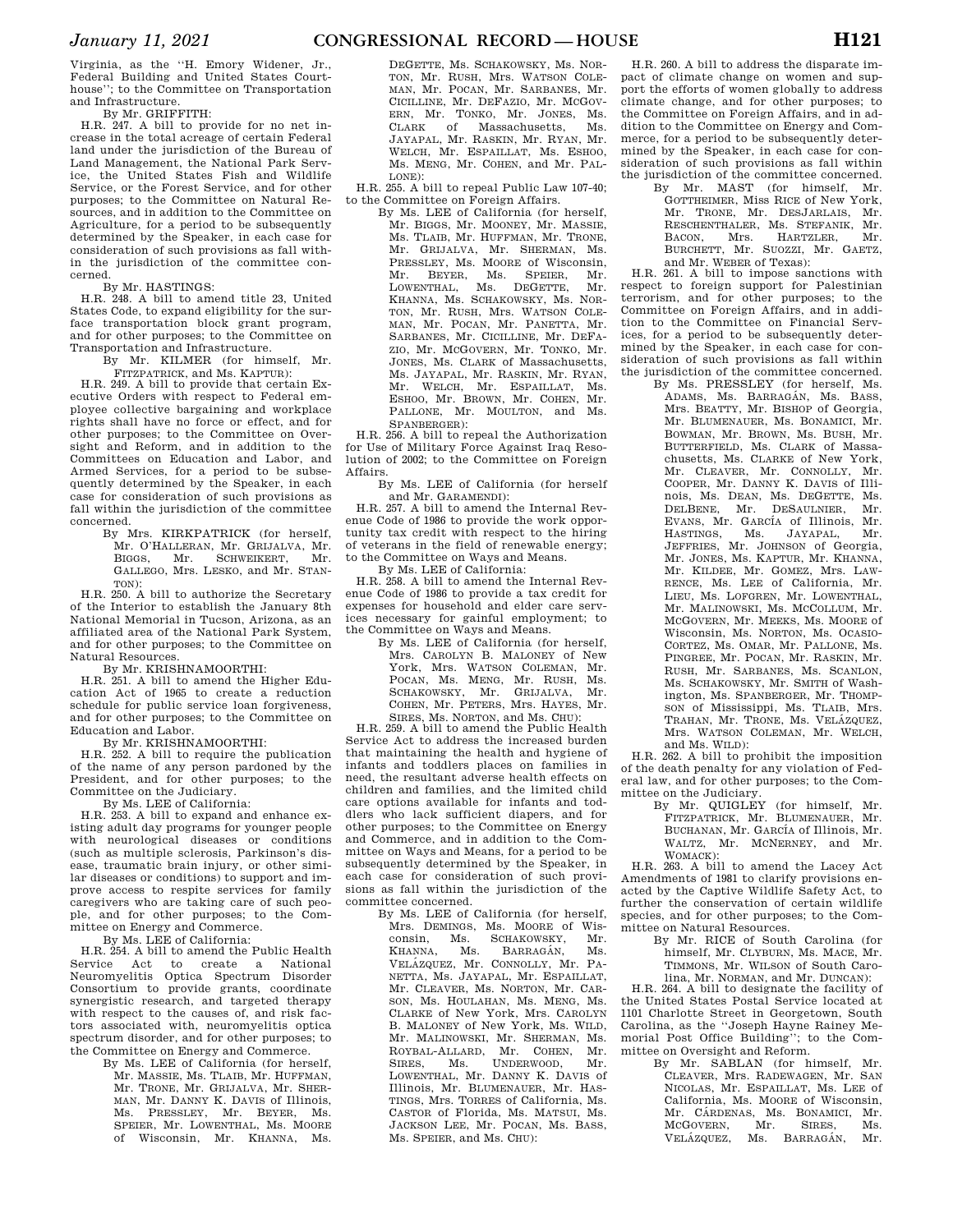Virginia, as the ''H. Emory Widener, Jr., Federal Building and United States Courthouse''; to the Committee on Transportation and Infrastructure.

By Mr. GRIFFITH:

H.R. 247. A bill to provide for no net increase in the total acreage of certain Federal land under the jurisdiction of the Bureau of Land Management, the National Park Service, the United States Fish and Wildlife Service, or the Forest Service, and for other purposes; to the Committee on Natural Resources, and in addition to the Committee on Agriculture, for a period to be subsequently determined by the Speaker, in each case for consideration of such provisions as fall within the jurisdiction of the committee concerned.

By Mr. HASTINGS:

H.R. 248. A bill to amend title 23, United States Code, to expand eligibility for the surface transportation block grant program, and for other purposes; to the Committee on Transportation and Infrastructure.

By Mr. KILMER (for himself, Mr.

FITZPATRICK, and Ms. KAPTUR): H.R. 249. A bill to provide that certain Executive Orders with respect to Federal employee collective bargaining and workplace rights shall have no force or effect, and for other purposes; to the Committee on Oversight and Reform, and in addition to the Committees on Education and Labor, and Armed Services, for a period to be subsequently determined by the Speaker, in each case for consideration of such provisions as fall within the jurisdiction of the committee concerned.

By Mrs. KIRKPATRICK (for herself, Mr. O'HALLERAN, Mr. GRIJALVA, Mr. SCHWEIKERT, GALLEGO, Mrs. LESKO, and Mr. STAN-TON):

H.R. 250. A bill to authorize the Secretary of the Interior to establish the January 8th National Memorial in Tucson, Arizona, as an affiliated area of the National Park System, and for other purposes; to the Committee on Natural Resources.

By Mr. KRISHNAMOORTHI:

H.R. 251. A bill to amend the Higher Education Act of 1965 to create a reduction schedule for public service loan forgiveness, and for other purposes; to the Committee on Education and Labor.

By Mr. KRISHNAMOORTHI:

H.R. 252. A bill to require the publication of the name of any person pardoned by the President, and for other purposes; to the Committee on the Judiciary.

By Ms. LEE of California:

H.R. 253. A bill to expand and enhance existing adult day programs for younger people with neurological diseases or conditions (such as multiple sclerosis, Parkinson's disease, traumatic brain injury, or other similar diseases or conditions) to support and improve access to respite services for family caregivers who are taking care of such people, and for other purposes; to the Committee on Energy and Commerce.

By Ms. LEE of California:

H.R. 254. A bill to amend the Public Health<br>Service Act to create a National Act to create a National Neuromyelitis Optica Spectrum Disorder Consortium to provide grants, coordinate synergistic research, and targeted therapy with respect to the causes of, and risk factors associated with, neuromyelitis optica spectrum disorder, and for other purposes; to the Committee on Energy and Commerce.

By Ms. LEE of California (for herself, Mr. MASSIE, Ms. TLAIB, Mr. HUFFMAN, Mr. TRONE, Mr. GRIJALVA, Mr. SHER-MAN, Mr. DANNY K. DAVIS of Illinois,<br>Ms. PRESSLEY. Mr. BEYER. Ms. PRESSLEY, Mr. BEYER, Ms. SPEIER, Mr. LOWENTHAL, Ms. MOORE of Wisconsin, Mr. KHANNA, Ms.

DEGETTE, Ms. SCHAKOWSKY, Ms. NOR-TON, Mr. RUSH, Mrs. WATSON COLE-MAN, Mr. POCAN, Mr. SARBANES, Mr. CICILLINE, Mr. DEFAZIO, Mr. MCGOV-ERN, Mr. TONKO, Mr. JONES, Ms. CLARK of Massachusetts, Ms. JAYAPAL, Mr. RASKIN, Mr. RYAN, Mr. WELCH, Mr. ESPAILLAT, Ms. ESHOO, Ms. MENG, Mr. COHEN, and Mr. PAL-LONE):

H.R. 255. A bill to repeal Public Law 107-40; to the Committee on Foreign Affairs.

By Ms. LEE of California (for herself, Mr. BIGGS, Mr. MOONEY, Mr. MASSIE, Ms. TLAIB, Mr. HUFFMAN, Mr. TRONE, Mr. GRIJALVA, Mr. SHERMAN, Ms. PRESSLEY, Ms. MOORE of Wisconsin, Mr. BEYER, Ms. SPEIER, Mr. Mr. BEYER, Ms.<br>LOWENTHAL, Ms. 1 Ms. DEGETTE, Mr. KHANNA, Ms. SCHAKOWSKY, Ms. NOR-TON, Mr. RUSH, Mrs. WATSON COLE-MAN, Mr. POCAN, Mr. PANETTA, Mr. SARBANES, Mr. CICILLINE, Mr. DEFA-ZIO, Mr. MCGOVERN, Mr. TONKO, Mr. JONES, Ms. CLARK of Massachusetts, Ms. JAYAPAL, Mr. RASKIN, Mr. RYAN, Mr. WELCH, Mr. ESPAILLAT, Ms. ESHOO, Mr. BROWN, Mr. COHEN, Mr. PALLONE, Mr. MOULTON, and Ms. SPANBERGER):

H.R. 256. A bill to repeal the Authorization for Use of Military Force Against Iraq Resolution of 2002; to the Committee on Foreign Affairs.

By Ms. LEE of California (for herself and Mr. GARAMENDI):

H.R. 257. A bill to amend the Internal Revenue Code of 1986 to provide the work opportunity tax credit with respect to the hiring of veterans in the field of renewable energy; to the Committee on Ways and Means.

By Ms. LEE of California:

H.R. 258. A bill to amend the Internal Revenue Code of 1986 to provide a tax credit for expenses for household and elder care services necessary for gainful employment; to the Committee on Ways and Means.

By Ms. LEE of California (for herself, Mrs. CAROLYN B. MALONEY of New York, Mrs. WATSON COLEMAN, Mr. POCAN, Ms. MENG, Mr. RUSH, Ms.<br>SCHAKOWSKY Mr. GRIJALVA, Mr. SCHAKOWSKY, Mr. GRIJALVA, COHEN, Mr. PETERS, Mrs. HAYES, Mr. SIRES, Ms. NORTON, and Ms. CHU):

H.R. 259. A bill to amend the Public Health Service Act to address the increased burden that maintaining the health and hygiene of infants and toddlers places on families in need, the resultant adverse health effects on children and families, and the limited child care options available for infants and toddlers who lack sufficient diapers, and for other purposes; to the Committee on Energy and Commerce, and in addition to the Committee on Ways and Means, for a period to be subsequently determined by the Speaker, in each case for consideration of such provisions as fall within the jurisdiction of the committee concerned.

By Ms. LEE of California (for herself, Mrs. DEMINGS, Ms. MOORE of Wisconsin, Ms. SCHAKOWSKY, Mr. KHANNA, Ms. BARRAGÁN, Ms. VELÁZQUEZ, Mr. CONNOLLY, Mr. PA-NETTA, Ms. JAYAPAL, Mr. ESPAILLAT, Mr. CLEAVER, Ms. NORTON, Mr. CAR-SON, Ms. HOULAHAN, Ms. MENG, Ms. CLARKE of New York, Mrs. CAROLYN B. MALONEY of New York, Ms. WILD, Mr. MALINOWSKI, Mr. SHERMAN, Ms. ROYBAL-ALLARD, Mr. COHEN, Mr. SIRES, Ms. UNDERWOOD, Mr. LOWENTHAL, Mr. DANNY K. DAVIS of Illinois, Mr. BLUMENAUER, Mr. HAS-TINGS, Mrs. TORRES of California, Ms. CASTOR of Florida, Ms. MATSUI, Ms. JACKSON LEE, Mr. POCAN, Ms. BASS, Ms. SPEIER, and Ms. CHU):

H.R. 260. A bill to address the disparate impact of climate change on women and support the efforts of women globally to address climate change, and for other purposes; to the Committee on Foreign Affairs, and in addition to the Committee on Energy and Commerce, for a period to be subsequently determined by the Speaker, in each case for consideration of such provisions as fall within the jurisdiction of the committee concerned.

By Mr. MAST (for himself, Mr. GOTTHEIMER, Miss RICE of New York, Mr. TRONE, Mr. DESJARLAIS, Mr. RESCHENTHALER, Ms. STEFANIK, Mr. BACON, Mrs. HARTZLER, Mr. BURCHETT, Mr. SUOZZI, Mr. GAETZ, and Mr. WEBER of Texas):

H.R. 261. A bill to impose sanctions with respect to foreign support for Palestinian terrorism, and for other purposes; to the Committee on Foreign Affairs, and in addition to the Committee on Financial Services, for a period to be subsequently determined by the Speaker, in each case for consideration of such provisions as fall within the jurisdiction of the committee concerned.

By Ms. PRESSLEY (for herself, Ms. ADAMS, Ms. BARRAGÁN, Ms. BASS, Mrs. BEATTY, Mr. BISHOP of Georgia, Mr. BLUMENAUER, Ms. BONAMICI, Mr. BOWMAN, Mr. BROWN, Ms. BUSH, Mr. BUTTERFIELD, Ms. CLARK of Massachusetts, Ms. CLARKE of New York, Mr. CLEAVER, Mr. CONNOLLY, Mr. COOPER, Mr. DANNY K. DAVIS of Illinois, Ms. DEAN, Ms. DEGETTE, Ms.<br>DELBENE, Mr. DESAULNIER, Mr. DESAULNIER, Mr. EVANS, Mr. GARCÍA of Illinois, Mr. HASTINGS, Ms. JAYAPAL, Mr. JEFFRIES, Mr. JOHNSON of Georgia, Mr. JONES, Ms. KAPTUR, Mr. KHANNA, Mr. KILDEE, Mr. GOMEZ, Mrs. LAW-RENCE, Ms. LEE of California, Mr. LIEU, Ms. LOFGREN, Mr. LOWENTHAL, Mr. MALINOWSKI, Ms. MCCOLLUM, Mr. MCGOVERN, Mr. MEEKS, Ms. MOORE of Wisconsin, Ms. NORTON, Ms. OCASIO-CORTEZ, Ms. OMAR, Mr. PALLONE, Ms. PINGREE, Mr. POCAN, Mr. RASKIN, Mr. RUSH, Mr. SARBANES, Ms. SCANLON, Ms. SCHAKOWSKY, Mr. SMITH of Washington, Ms. SPANBERGER, Mr. THOMP-SON of Mississippi, Ms. TLAIB, Mrs. TRAHAN, Mr. TRONE, Ms. VELÁZQUEZ, Mrs. WATSON COLEMAN, Mr. WELCH, and Ms. WILD):

H.R. 262. A bill to prohibit the imposition of the death penalty for any violation of Federal law, and for other purposes; to the Committee on the Judiciary.

By Mr. QUIGLEY (for himself, Mr. FITZPATRICK, Mr. BLUMENAUER, Mr. BUCHANAN, Mr. GARCÍA of Illinois, Mr. WALTZ, Mr. MCNERNEY, and Mr. WOMACK):

H.R. 263. A bill to amend the Lacey Act Amendments of 1981 to clarify provisions enacted by the Captive Wildlife Safety Act, to further the conservation of certain wildlife species, and for other purposes; to the Committee on Natural Resources.

By Mr. RICE of South Carolina (for himself, Mr. CLYBURN, Ms. MACE, Mr. TIMMONS, Mr. WILSON of South Carolina, Mr. NORMAN, and Mr. DUNCAN):

H.R. 264. A bill to designate the facility of the United States Postal Service located at 1101 Charlotte Street in Georgetown, South Carolina, as the ''Joseph Hayne Rainey Memorial Post Office Building''; to the Committee on Oversight and Reform.

By Mr. SABLAN (for himself, Mr. CLEAVER, Mrs. RADEWAGEN, Mr. SAN NICOLAS, Mr. ESPAILLAT, Ms. LEE of California, Ms. MOORE of Wisconsin, Mr. CÁRDENAS, Ms. BONAMICI, Mr. MCGOVERN, Mr. SIRES, Ms. VELÁZQUEZ, Ms. BARRAGÁN, Mr.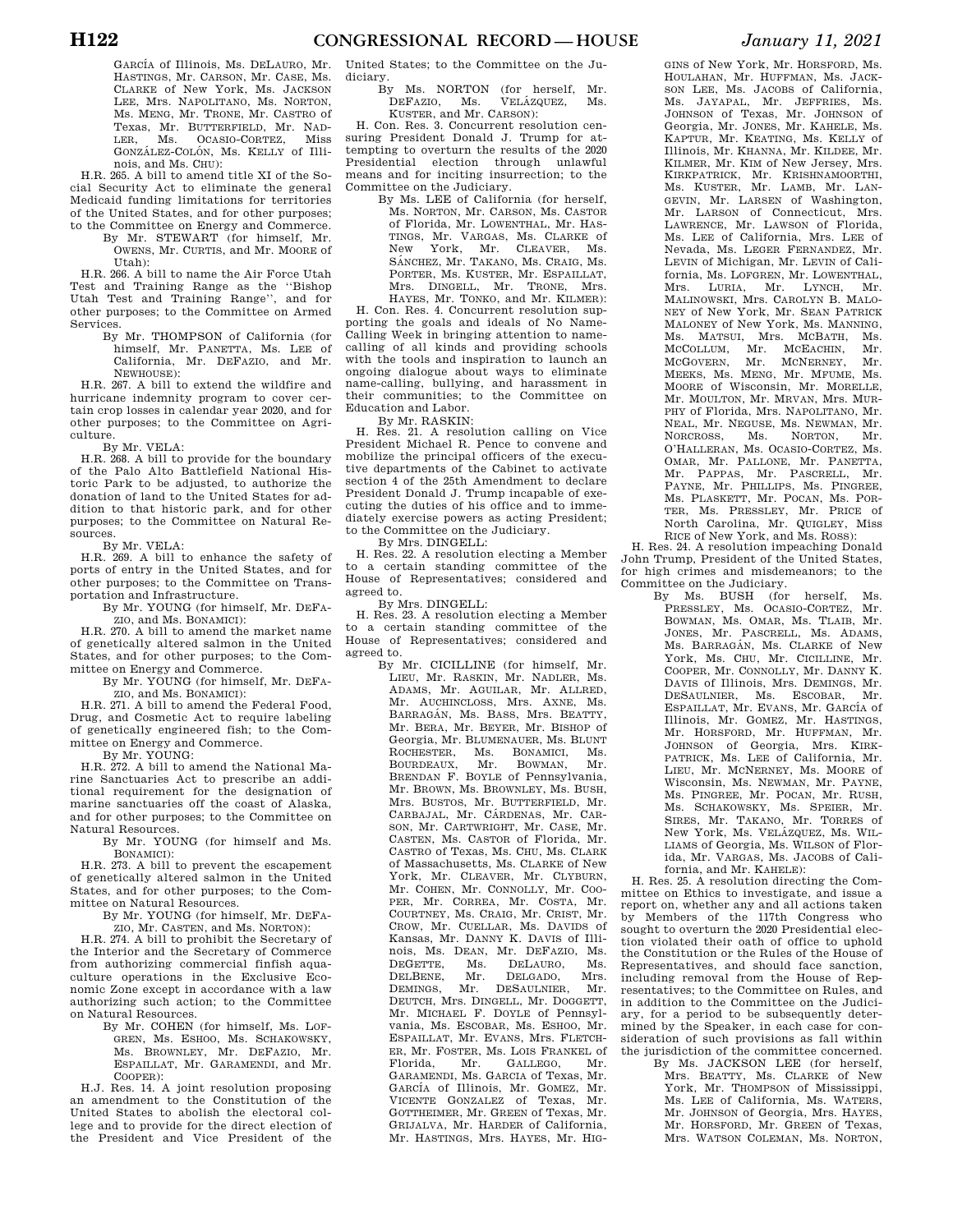H.R. 265. A bill to amend title XI of the Social Security Act to eliminate the general Medicaid funding limitations for territories of the United States, and for other purposes; to the Committee on Energy and Commerce.

By Mr. STEWART (for himself, Mr. OWENS, Mr. CURTIS, and Mr. MOORE of Utah):

H.R. 266. A bill to name the Air Force Utah Test and Training Range as the ''Bishop Utah Test and Training Range'', and for other purposes; to the Committee on Armed Services.

By Mr. THOMPSON of California (for himself, Mr. PANETTA, Ms. LEE of California, Mr. DEFAZIO, and Mr. NEWHOUSE):

H.R. 267. A bill to extend the wildfire and hurricane indemnity program to cover certain crop losses in calendar year 2020, and for other purposes; to the Committee on Agriculture.

By Mr. VELA:

H.R. 268. A bill to provide for the boundary of the Palo Alto Battlefield National Historic Park to be adjusted, to authorize the donation of land to the United States for addition to that historic park, and for other purposes; to the Committee on Natural Resources.

By Mr. VELA:

H.R. 269. A bill to enhance the safety of ports of entry in the United States, and for other purposes; to the Committee on Transportation and Infrastructure.

By Mr. YOUNG (for himself, Mr. DEFA-

ZIO, and Ms. BONAMICI): H.R. 270. A bill to amend the market name of genetically altered salmon in the United States, and for other purposes; to the Committee on Energy and Commerce.

By Mr. YOUNG (for himself, Mr. DEFA-ZIO, and Ms. BONAMICI):

H.R. 271. A bill to amend the Federal Food, Drug, and Cosmetic Act to require labeling of genetically engineered fish; to the Committee on Energy and Commerce. By Mr. YOUNG:

H.R. 272. A bill to amend the National Marine Sanctuaries Act to prescribe an additional requirement for the designation of marine sanctuaries off the coast of Alaska, and for other purposes; to the Committee on

Natural Resources. By Mr. YOUNG (for himself and Ms. BONAMICI):

H.R. 273. A bill to prevent the escapement of genetically altered salmon in the United States, and for other purposes; to the Committee on Natural Resources.

By Mr. YOUNG (for himself, Mr. DEFA-ZIO, Mr. CASTEN, and Ms. NORTON):

H.R. 274. A bill to prohibit the Secretary of the Interior and the Secretary of Commerce from authorizing commercial finfish aquaculture operations in the Exclusive Economic Zone except in accordance with a law authorizing such action; to the Committee on Natural Resources.

By Mr. COHEN (for himself, Ms. LOF-GREN, Ms. ESHOO, Ms. SCHAKOWSKY, Ms. BROWNLEY, Mr. DEFAZIO, Mr. ESPAILLAT, Mr. GARAMENDI, and Mr. COOPER):

H.J. Res. 14. A joint resolution proposing an amendment to the Constitution of the United States to abolish the electoral college and to provide for the direct election of the President and Vice President of the United States; to the Committee on the Judiciary.

By Ms. NORTON (for herself, Mr. DEFAZIO, Ms. VELÁZQUEZ, Ms. KUSTER, and Mr. CARSON):

H. Con. Res. 3. Concurrent resolution censuring President Donald J. Trump for attempting to overturn the results of the 2020 Presidential election through unlawful means and for inciting insurrection; to the Committee on the Judiciary.

By Ms. LEE of California (for herself, Ms. NORTON, Mr. CARSON, Ms. CASTOR of Florida, Mr. LOWENTHAL, Mr. HAS-TINGS, Mr. VARGAS, Ms. CLARKE of New York, Mr. CLEAVER, Ms.<br>SÁNCHEZ, Mr. TAKANO, Ms. CRAIG, Ms. PORTER, Ms. KUSTER, Mr. ESPAILLAT, Mrs. DINGELL, Mr. TRONE, Mrs. HAYES, Mr. TONKO, and Mr. KILMER):

H. Con. Res. 4. Concurrent resolution supporting the goals and ideals of No Name-Calling Week in bringing attention to namecalling of all kinds and providing schools with the tools and inspiration to launch an ongoing dialogue about ways to eliminate name-calling, bullying, and harassment in their communities; to the Committee on Education and Labor.

By Mr. RASKIN:

H. Res. 21. A resolution calling on Vice President Michael R. Pence to convene and mobilize the principal officers of the executive departments of the Cabinet to activate section 4 of the 25th Amendment to declare President Donald J. Trump incapable of executing the duties of his office and to immediately exercise powers as acting President; to the Committee on the Judiciary.

By Mrs. DINGELL:

H. Res. 22. A resolution electing a Member to a certain standing committee of the House of Representatives; considered and agreed to.

By Mrs. DINGELL:

H. Res. 23. A resolution electing a Member to a certain standing committee of the House of Representatives; considered and agreed to.

By Mr. CICILLINE (for himself, Mr. LIEU, Mr. RASKIN, Mr. NADLER, Ms. ADAMS, Mr. AGUILAR, Mr. ALLRED, Mr. AUCHINCLOSS, Mrs. AXNE, Ms. BARRAGÁN, Ms. BASS, Mrs. BEATTY, Mr. BERA, Mr. BEYER, Mr. BISHOP of Georgia, Mr. BLUMENAUER, Ms. BLUNT ROCHESTER, Ms. BONAMICI, Ms. BOURDEAUX, Mr. BOWMAN, Mr. BOURDEAUX, Mr. BRENDAN F. BOYLE of Pennsylvania, Mr. BROWN, Ms. BROWNLEY, Ms. BUSH, Mrs. BUSTOS, Mr. BUTTERFIELD, Mr. CARBAJAL, Mr. CÁRDENAS, Mr. CAR-SON, Mr. CARTWRIGHT, Mr. CASE, Mr. CASTEN, Ms. CASTOR of Florida, Mr. CASTRO of Texas, Ms. CHU, Ms. CLARK of Massachusetts, Ms. CLARKE of New York, Mr. CLEAVER, Mr. CLYBURN, Mr. COHEN, Mr. CONNOLLY, Mr. COO-PER, Mr. CORREA, Mr. COSTA, Mr. COURTNEY, Ms. CRAIG, Mr. CRIST, Mr. CROW, Mr. CUELLAR, Ms. DAVIDS of Kansas, Mr. DANNY K. DAVIS of Illinois, Ms. DEAN, Mr. DEFAZIO, Ms.<br>DEGETTE. Ms. DELAURO. Ms. DELAURO, DELBENE, Mr. DELGADO, Mrs. DEMINGS, Mr. DESAULNIER, Mr. DEUTCH, Mrs. DINGELL, Mr. DOGGETT, Mr. MICHAEL F. DOYLE of Pennsylvania, Ms. ESCOBAR, Ms. ESHOO, Mr. ESPAILLAT, Mr. EVANS, Mrs. FLETCH-ER, Mr. FOSTER, Ms. LOIS FRANKEL of Florida, Mr. GALLEGO, Mr. GARAMENDI, Ms. GARCIA of Texas, Mr. GARCIA of Illinois, Mr. GOMEZ, Mr. VICENTE GONZALEZ of Texas, Mr. GOTTHEIMER, Mr. GREEN of Texas, Mr. GRIJALVA, Mr. HARDER of California, Mr. HASTINGS, Mrs. HAYES, Mr. HIG-

GINS of New York, Mr. HORSFORD, Ms. HOULAHAN, Mr. HUFFMAN, Ms. JACK-SON LEE, Ms. JACOBS of California, Ms. JAYAPAL, Mr. JEFFRIES, Ms. JOHNSON of Texas, Mr. JOHNSON of Georgia, Mr. JONES, Mr. KAHELE, Ms. KAPTUR, Mr. KEATING, Ms. KELLY of Illinois, Mr. KHANNA, Mr. KILDEE, Mr. KILMER, Mr. KIM of New Jersey, Mrs. KIRKPATRICK, Mr. KRISHNAMOORTHI, Ms. KUSTER, Mr. LAMB, Mr. LAN-GEVIN, Mr. LARSEN of Washington, Mr. LARSON of Connecticut, Mrs. LAWRENCE, Mr. LAWSON of Florida, Ms. LEE of California, Mrs. LEE of Nevada, Ms. LEGER FERNANDEZ, Mr. LEVIN of Michigan, Mr. LEVIN of California, Ms. LOFGREN, Mr. LOWENTHAL, Mrs. LURIA, Mr. LYNCH, Mr. MALINOWSKI, Mrs. CAROLYN B. MALO-NEY of New York, Mr. SEAN PATRICK MALONEY of New York, Ms. MANNING, Ms. MATSUI, Mrs. MCBATH, Ms. MCCOLLUM, Mr. MCEACHIN, Mr. MCGOVERN, Mr. MCNERNEY, Mr. MEEKS, Ms. MENG, Mr. MFUME, Ms. MOORE of Wisconsin, Mr. MORELLE, Mr. MOULTON, Mr. MRVAN, Mrs. MUR-PHY of Florida, Mrs. NAPOLITANO, Mr. NEAL, Mr. NEGUSE, Ms. NEWMAN, Mr.<br>NORCROSS, Ms. NORTON, Mr. NORCROSS, O'HALLERAN, Ms. OCASIO-CORTEZ, Ms. OMAR, Mr. PALLONE, Mr. PANETTA, Mr. PAPPAS, Mr. PASCRELL, Mr. PAYNE, Mr. PHILLIPS, Ms. PINGREE, Ms. PLASKETT, Mr. POCAN, Ms. POR-TER, Ms. PRESSLEY, Mr. PRICE of North Carolina, Mr. QUIGLEY, Miss

RICE of New York, and Ms. ROSS): H. Res. 24. A resolution impeaching Donald John Trump, President of the United States, for high crimes and misdemeanors; to the Committee on the Judiciary.

By Ms. BUSH (for herself, Ms. PRESSLEY, Ms. OCASIO-CORTEZ, Mr. BOWMAN, Ms. OMAR, Ms. TLAIB, Mr. JONES, Mr. PASCRELL, Ms. ADAMS, Ms. BARRAGÁN, Ms. CLARKE of New York, Ms. CHU, Mr. CICILLINE, Mr. COOPER, Mr. CONNOLLY, Mr. DANNY K. DAVIS of Illinois, Mrs. DEMINGS, Mr. DESAULNIER, Ms. ESCOBAR, Mr. ESPAILLAT, Mr. EVANS, Mr. GARCÍA of Illinois, Mr. GOMEZ, Mr. HASTINGS, Mr. HORSFORD, Mr. HUFFMAN, Mr. JOHNSON of Georgia, Mrs. KIRK-PATRICK, Ms. LEE of California, Mr. LIEU, Mr. MCNERNEY, Ms. MOORE of Wisconsin, Ms. NEWMAN, Mr. PAYNE, Ms. PINGREE, Mr. POCAN, Mr. RUSH, Ms. SCHAKOWSKY, Ms. SPEIER, Mr. SIRES, Mr. TAKANO, Mr. TORRES of New York, Ms. VELÁZQUEZ, Ms. WIL-LIAMS of Georgia, Ms. WILSON of Florida, Mr. VARGAS, Ms. JACOBS of California, and Mr. KAHELE):

H. Res. 25. A resolution directing the Committee on Ethics to investigate, and issue a report on, whether any and all actions taken by Members of the 117th Congress who sought to overturn the 2020 Presidential election violated their oath of office to uphold the Constitution or the Rules of the House of Representatives, and should face sanction, including removal from the House of Representatives; to the Committee on Rules, and in addition to the Committee on the Judiciary, for a period to be subsequently determined by the Speaker, in each case for consideration of such provisions as fall within the jurisdiction of the committee concerned.

By Ms. JACKSON LEE (for herself, Mrs. BEATTY, Ms. CLARKE of New York, Mr. THOMPSON of Mississippi, Ms. LEE of California, Ms. WATERS, Mr. JOHNSON of Georgia, Mrs. HAYES, Mr. HORSFORD, Mr. GREEN of Texas, Mrs. WATSON COLEMAN, Ms. NORTON,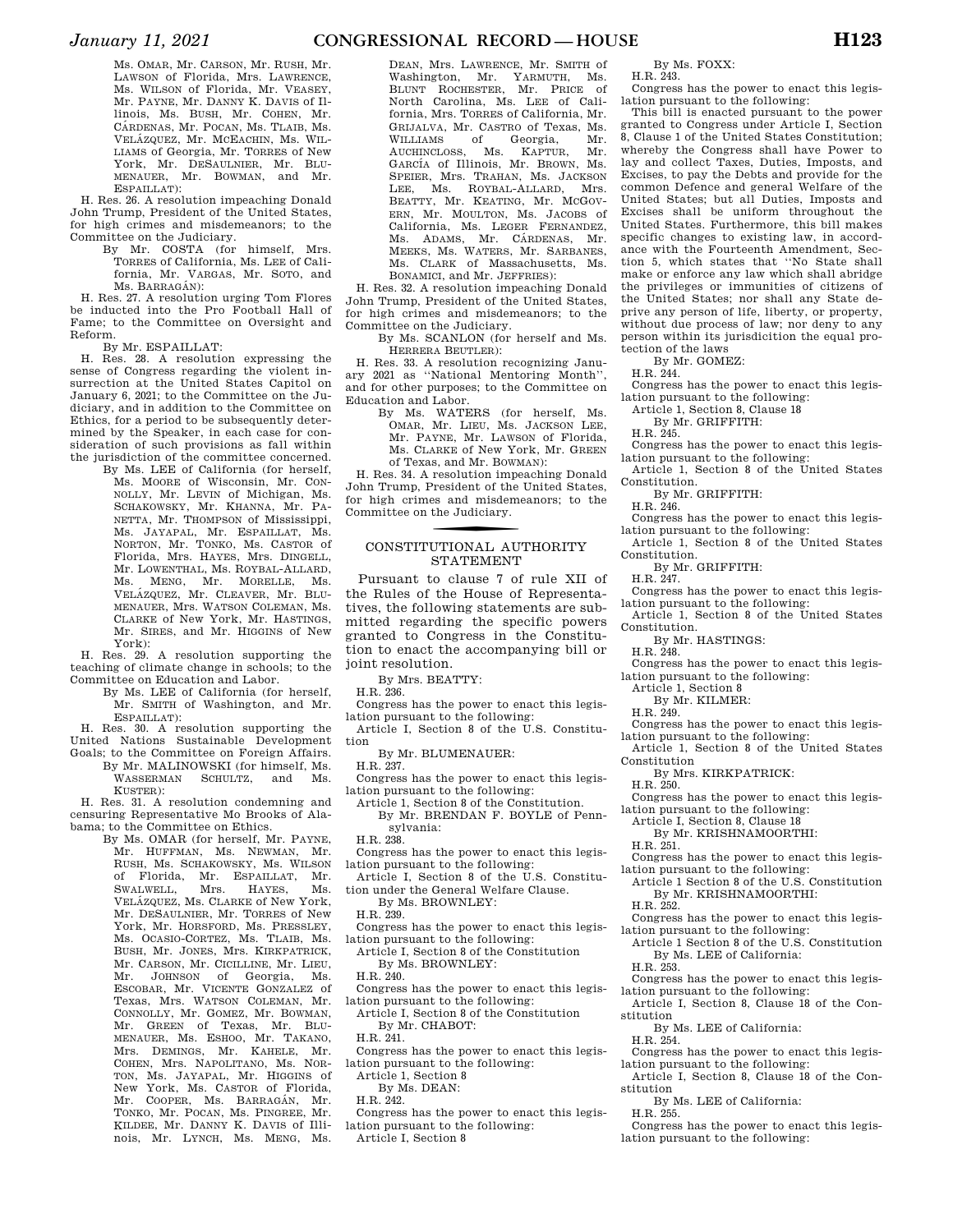Ms. OMAR, Mr. CARSON, Mr. RUSH, Mr. LAWSON of Florida, Mrs. LAWRENCE, Ms. WILSON of Florida, Mr. VEASEY, Mr. PAYNE, Mr. DANNY K. DAVIS of Illinois, Ms. BUSH, Mr. COHEN, Mr. CÁRDENAS, Mr. POCAN, Ms. TLAIB, Ms. VELÁZQUEZ, Mr. MCEACHIN, Ms. WIL-LIAMS of Georgia, Mr. TORRES of New York, Mr. DESAULNIER, Mr. BLU-MENAUER, Mr. BOWMAN, and Mr. ESPAILLAT):

H. Res. 26. A resolution impeaching Donald John Trump, President of the United States, for high crimes and misdemeanors; to the Committee on the Judiciary.

By Mr. COSTA (for himself, Mrs. TORRES of California, Ms. LEE of California, Mr. VARGAS, Mr. SOTO, and Ms. BARRAGÁN):

H. Res. 27. A resolution urging Tom Flores be inducted into the Pro Football Hall of Fame; to the Committee on Oversight and Reform.

By Mr. ESPAILLAT:

H. Res. 28. A resolution expressing the sense of Congress regarding the violent insurrection at the United States Capitol on January 6, 2021; to the Committee on the Judiciary, and in addition to the Committee on Ethics, for a period to be subsequently determined by the Speaker, in each case for consideration of such provisions as fall within the jurisdiction of the committee concerned.

By Ms. LEE of California (for herself, Ms. MOORE of Wisconsin, Mr. CON-NOLLY, Mr. LEVIN of Michigan, Ms. SCHAKOWSKY, Mr. KHANNA, Mr. PA-NETTA, Mr. THOMPSON of Mississippi, Ms. JAYAPAL, Mr. ESPAILLAT, Ms. NORTON, Mr. TONKO, Ms. CASTOR of Florida, Mrs. HAYES, Mrs. DINGELL, Mr. LOWENTHAL, Ms. ROYBAL-ALLARD, Ms. MENG, Mr. MORELLE, Ms. VELÁZQUEZ, Mr. CLEAVER, Mr. BLU-MENAUER, Mrs. WATSON COLEMAN, Ms. CLARKE of New York, Mr. HASTINGS, Mr. SIRES, and Mr. HIGGINS of New York):

H. Res. 29. A resolution supporting the teaching of climate change in schools; to the Committee on Education and Labor.

- By Ms. LEE of California (for herself, Mr. SMITH of Washington, and Mr. ESPAILLAT):
- H. Res. 30. A resolution supporting the United Nations Sustainable Development
- Goals; to the Committee on Foreign Affairs. By Mr. MALINOWSKI (for himself, Ms.<br>WASSERMAN SCHILTZ and Ms. SCHULTZ, and Ms. KUSTER):

H. Res. 31. A resolution condemning and censuring Representative Mo Brooks of Alabama; to the Committee on Ethics.

By Ms. OMAR (for herself, Mr. PAYNE, Mr. HUFFMAN, Ms. NEWMAN, Mr. RUSH, Ms. SCHAKOWSKY, Ms. WILSON of Florida, Mr. ESPAILLAT, Mr. SWALWELL, Mrs. HAYES, Ms. VELÁZQUEZ, Ms. CLARKE of New York, Mr. DESAULNIER, Mr. TORRES of New York, Mr. HORSFORD, Ms. PRESSLEY, Ms. OCASIO-CORTEZ, Ms. TLAIB, Ms. BUSH, Mr. JONES, Mrs. KIRKPATRICK, Mr. CARSON, Mr. CICILLINE, Mr. LIEU, Mr. JOHNSON of Georgia, Ms. ESCOBAR, Mr. VICENTE GONZALEZ of Texas, Mrs. WATSON COLEMAN, Mr. CONNOLLY, Mr. GOMEZ, Mr. BOWMAN, Mr. GREEN of Texas, Mr. BLU-MENAUER, Ms. ESHOO, Mr. TAKANO, Mrs. DEMINGS, Mr. KAHELE, Mr. COHEN, Mrs. NAPOLITANO, Ms. NOR-TON, Ms. JAYAPAL, Mr. HIGGINS of New York, Ms. CASTOR of Florida, Mr. COOPER, Ms. BARRAGÁN, Mr. TONKO, Mr. POCAN, Ms. PINGREE, Mr. KILDEE, Mr. DANNY K. DAVIS of Illinois, Mr. LYNCH, Ms. MENG, Ms.

DEAN, Mrs. LAWRENCE, Mr. SMITH of Washington, Mr. YARMUTH, Ms. BLUNT ROCHESTER, Mr. PRICE of North Carolina, Ms. LEE of California, Mrs. TORRES of California, Mr. GRIJALVA, Mr. CASTRO of Texas, Ms. WILLIAMS of Georgia, Mr.<br>AUCHINCLOSS, Ms. KAPTUR. Mr. AUCHINCLOSS, Ms. KAPTUR, GARCÍA of Illinois, Mr. BROWN, Ms. SPEIER, Mrs. TRAHAN, Ms. JACKSON<br>LEE. Ms. ROYBAL-ALLARD. Mrs. Ms. ROYBAL-ALLARD, BEATTY, Mr. KEATING, Mr. MCGOV-ERN, Mr. MOULTON, Ms. JACOBS of California, Ms. LEGER FERNANDEZ, Ms. ADAMS, Mr. CÁRDENAS, Mr. MEEKS, Ms. WATERS, Mr. SARBANES, Ms. CLARK of Massachusetts, Ms. BONAMICI, and Mr. JEFFRIES):

H. Res. 32. A resolution impeaching Donald John Trump, President of the United States, for high crimes and misdemeanors; to the Committee on the Judiciary.

By Ms. SCANLON (for herself and Ms. HERRERA BEUTLER):

H. Res. 33. A resolution recognizing January 2021 as ''National Mentoring Month'', and for other purposes; to the Committee on Education and Labor.

By Ms. WATERS (for herself, Ms. OMAR, Mr. LIEU, Ms. JACKSON LEE, Mr. PAYNE, Mr. LAWSON of Florida, Ms. CLARKE of New York, Mr. GREEN of Texas, and Mr. BOWMAN):

H. Res. 34. A resolution impeaching Donald John Trump, President of the United States, for high crimes and misdemeanors; to the Committee on the Judiciary.

### CONSTITUTIONAL AUTHORITY STATEMENT

Pursuant to clause 7 of rule XII of the Rules of the House of Representatives, the following statements are submitted regarding the specific powers granted to Congress in the Constitution to enact the accompanying bill or joint resolution.

By Mrs. BEATTY:

H.R. 236.

Congress has the power to enact this legislation pursuant to the following:

Article I, Section 8 of the U.S. Constitution

By Mr. BLUMENAUER:

H.R. 237.

- Congress has the power to enact this legislation pursuant to the following:
- Article 1, Section 8 of the Constitution.
- By Mr. BRENDAN F. BOYLE of Pennsylvania: H.R. 238.
- Congress has the power to enact this legis-
- lation pursuant to the following: Article I, Section 8 of the U.S. Constitu-
- tion under the General Welfare Clause. By Ms. BROWNLEY:
- H.R. 239.
- Congress has the power to enact this legislation pursuant to the following:
- Article I, Section 8 of the Constitution By Ms. BROWNLEY:
- H.R. 240.
- Congress has the power to enact this legislation pursuant to the following:
- Article I, Section 8 of the Constitution By Mr. CHABOT:
- H.R. 241.
- Congress has the power to enact this legislation pursuant to the following:

Article 1, Section 8

By Ms. DEAN: H.R. 242.

Congress has the power to enact this legislation pursuant to the following:

Article I, Section 8

By Ms. FOXX:

H.R. 243.

Congress has the power to enact this legislation pursuant to the following:

This bill is enacted pursuant to the power granted to Congress under Article I, Section 8, Clause 1 of the United States Constitution; whereby the Congress shall have Power to lay and collect Taxes, Duties, Imposts, and Excises, to pay the Debts and provide for the common Defence and general Welfare of the United States; but all Duties, Imposts and Excises shall be uniform throughout the United States. Furthermore, this bill makes specific changes to existing law, in accordance with the Fourteenth Amendment, Section 5, which states that ''No State shall make or enforce any law which shall abridge the privileges or immunities of citizens of the United States; nor shall any State deprive any person of life, liberty, or property, without due process of law; nor deny to any person within its jurisdicition the equal protection of the laws

By Mr. GOMEZ:

H.R. 244.

Congress has the power to enact this legislation pursuant to the following:

Article 1, Section 8, Clause 18 By Mr. GRIFFITH:

H.R. 245.

- Congress has the power to enact this legislation pursuant to the following:
- Article 1, Section 8 of the United States Constitution.

By Mr. GRIFFITH:

H.R. 246.

Congress has the power to enact this legislation pursuant to the following:

Article 1, Section 8 of the United States Constitution.

By Mr. GRIFFITH:

- H.R. 247.
- Congress has the power to enact this legislation pursuant to the following:

Article 1, Section 8 of the United States Constitution.

By Mr. HASTINGS: H.R. 248.

- Congress has the power to enact this legis-
- lation pursuant to the following:
	- Article 1, Section 8

By Mr. KILMER:

H.R. 249.

- Congress has the power to enact this legislation pursuant to the following:
- Article 1, Section 8 of the United States Constitution
	- By Mrs. KIRKPATRICK:
	- H.R. 250.

Congress has the power to enact this legislation pursuant to the following:

- Article I, Section 8, Clause 18 By Mr. KRISHNAMOORTHI:
- H.R. 251.
- Congress has the power to enact this legis-
- lation pursuant to the following: Article 1 Section 8 of the U.S. Constitution By Mr. KRISHNAMOORTHI:
- H.R. 252.
- Congress has the power to enact this legislation pursuant to the following:
- Article 1 Section 8 of the U.S. Constitution By Ms. LEE of California:
- H.R. 253.

Congress has the power to enact this legislation pursuant to the following:

- Article I, Section 8, Clause 18 of the Constitution
	- By Ms. LEE of California:
- H.R. 254.
- Congress has the power to enact this legislation pursuant to the following:
- Article I, Section 8, Clause 18 of the Constitution
- By Ms. LEE of California:
- H.R. 255.
- Congress has the power to enact this legislation pursuant to the following: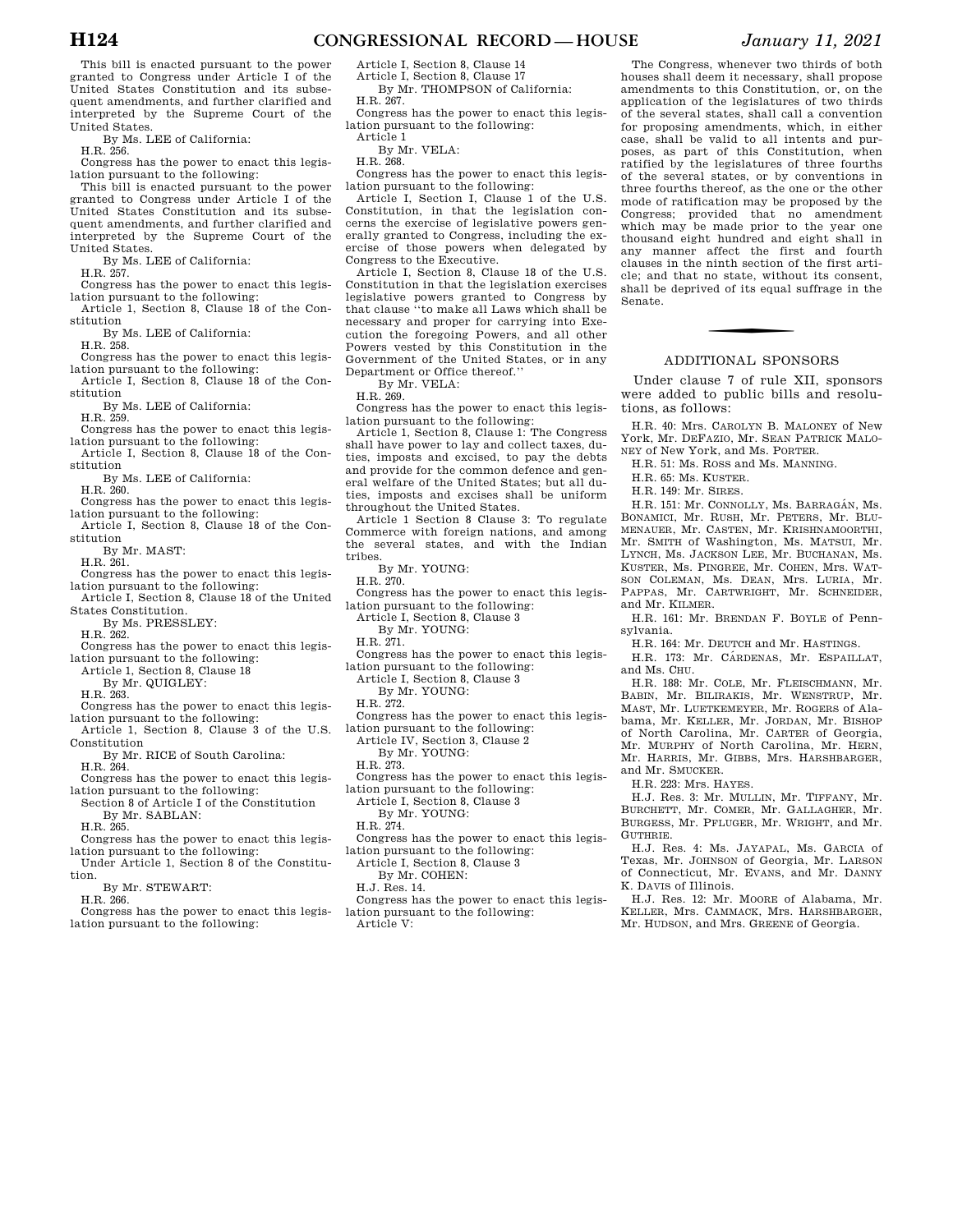**H124 CONGRESSIONAL RECORD — HOUSE** *January 11, 2021* 

This bill is enacted pursuant to the power granted to Congress under Article I of the United States Constitution and its subsequent amendments, and further clarified and interpreted by the Supreme Court of the United States.

By Ms. LEE of California:

H.R. 256.

Congress has the power to enact this legislation pursuant to the following:

This bill is enacted pursuant to the power granted to Congress under Article I of the United States Constitution and its subsequent amendments, and further clarified and interpreted by the Supreme Court of the United States.

By Ms. LEE of California:

H.R. 257.

Congress has the power to enact this legislation pursuant to the following:

Article 1, Section 8, Clause 18 of the Constitution

By Ms. LEE of California:

H.R. 258.

Congress has the power to enact this legislation pursuant to the following:

Article I, Section 8, Clause 18 of the Constitution

By Ms. LEE of California:

H.R. 259.

- Congress has the power to enact this legislation pursuant to the following:
- Article I, Section 8, Clause 18 of the Constitution

By Ms. LEE of California:

 $H$  R. 260

Congress has the power to enact this legislation pursuant to the following:

Article I, Section 8, Clause 18 of the Constitution

By Mr. MAST:

H.R. 261.

Congress has the power to enact this legislation pursuant to the following:

Article I, Section 8, Clause 18 of the United States Constitution.

By Ms. PRESSLEY:

 $H$  R. 262.

Congress has the power to enact this legislation pursuant to the following:

Article 1, Section 8, Clause 18

By Mr. QUIGLEY:

H.R. 263.

- Congress has the power to enact this legislation pursuant to the following:
- Article 1, Section 8, Clause 3 of the U.S. Constitution

By Mr. RICE of South Carolina: H.R. 264.

Congress has the power to enact this legislation pursuant to the following:

Section 8 of Article I of the Constitution By Mr. SABLAN:

H.R. 265.

- Congress has the power to enact this legislation pursuant to the following:
- Under Article 1, Section 8 of the Constitution.

By Mr. STEWART:

H.R. 266.

Congress has the power to enact this legislation pursuant to the following:

Article I, Section 8, Clause 14 Article I, Section 8, Clause 17

By Mr. THOMPSON of California: H.R. 267.

Congress has the power to enact this legislation pursuant to the following:

Article 1 By Mr. VELA:

H.R. 268.

Congress has the power to enact this legislation pursuant to the following:

Article I, Section I, Clause 1 of the U.S. Constitution, in that the legislation concerns the exercise of legislative powers generally granted to Congress, including the exercise of those powers when delegated by Congress to the Executive.

Article I, Section 8, Clause 18 of the U.S. Constitution in that the legislation exercises legislative powers granted to Congress by that clause ''to make all Laws which shall be necessary and proper for carrying into Execution the foregoing Powers, and all other Powers vested by this Constitution in the Government of the United States, or in any Department or Office thereof.''

By Mr. VELA:

H.R. 269.

Congress has the nower to enact this legislation pursuant to the following:

Article 1, Section 8, Clause 1: The Congress shall have power to lay and collect taxes, duties, imposts and excised, to pay the debts and provide for the common defence and general welfare of the United States; but all duties, imposts and excises shall be uniform throughout the United States.

Article 1 Section 8 Clause 3: To regulate Commerce with foreign nations, and among the several states, and with the Indian tribes.

By Mr. YOUNG:

H.R. 270.

Congress has the power to enact this legislation pursuant to the following:

Article I, Section 8, Clause 3

By Mr. YOUNG:

H.R. 271.

- Congress has the power to enact this legislation pursuant to the following:
- Article I, Section 8, Clause 3
- By Mr. YOUNG:

H.R. 272.

Congress has the power to enact this legislation pursuant to the following:

Article IV, Section 3, Clause 2

By Mr. YOUNG:

H.R. 273.

- Congress has the power to enact this legis-
- lation pursuant to the following:

Article I, Section 8, Clause 3 By Mr. YOUNG:

- H.R. 274.
- Congress has the power to enact this legislation pursuant to the following:

Article I, Section 8, Clause 3

- By Mr. COHEN:
- H.J. Res. 14.

Article V:

Congress has the power to enact this legislation pursuant to the following:

The Congress, whenever two thirds of both houses shall deem it necessary, shall propose amendments to this Constitution, or, on the application of the legislatures of two thirds of the several states, shall call a convention for proposing amendments, which, in either case, shall be valid to all intents and purposes, as part of this Constitution, when ratified by the legislatures of three fourths of the several states, or by conventions in three fourths thereof, as the one or the other mode of ratification may be proposed by the Congress; provided that no amendment which may be made prior to the year one thousand eight hundred and eight shall in any manner affect the first and fourth clauses in the ninth section of the first article; and that no state, without its consent, shall be deprived of its equal suffrage in the Senate.

### ADDITIONAL SPONSORS

Under clause 7 of rule XII, sponsors were added to public bills and resolutions, as follows:

H.R. 40: Mrs. CAROLYN B. MALONEY of New York, Mr. DEFAZIO, Mr. SEAN PATRICK MALO-NEY of New York, and Ms. PORTER.

H.R. 51: Ms. ROSS and Ms. MANNING.

- H.R. 65: Ms. KUSTER.
- H.R. 149: Mr. SIRES.

H.R. 151: Mr. CONNOLLY, Ms. BARRAGÁN, Ms. BONAMICI, Mr. RUSH, Mr. PETERS, Mr. BLU-MENAUER, Mr. CASTEN, Mr. KRISHNAMOORTHI, Mr. SMITH of Washington, Ms. MATSUI, Mr. LYNCH, Ms. JACKSON LEE, Mr. BUCHANAN, Ms. KUSTER, Ms. PINGREE, Mr. COHEN, Mrs. WAT-SON COLEMAN, Ms. DEAN, Mrs. LURIA, Mr. PAPPAS, Mr. CARTWRIGHT, Mr. SCHNEIDER, and Mr. KILMER.

H.R. 161: Mr. BRENDAN F. BOYLE of Pennsylvania.

H.R. 164: Mr. DEUTCH and Mr. HASTINGS.

H.R. 173: Mr. CÁRDENAS, Mr. ESPAILLAT, and Ms. CHU.

H.R. 188: Mr. COLE, Mr. FLEISCHMANN, Mr. BABIN, Mr. BILIRAKIS, Mr. WENSTRUP, Mr. MAST, Mr. LUETKEMEYER, Mr. ROGERS of Alabama, Mr. KELLER, Mr. JORDAN, Mr. BISHOP of North Carolina, Mr. CARTER of Georgia, Mr. MURPHY of North Carolina, Mr. HERN, Mr. HARRIS, Mr. GIBBS, Mrs. HARSHBARGER, and Mr. SMUCKER.

H.R. 223: Mrs. HAYES.

H.J. Res. 3: Mr. MULLIN, Mr. TIFFANY, Mr. BURCHETT, Mr. COMER, Mr. GALLAGHER, Mr. BURGESS, Mr. PFLUGER, Mr. WRIGHT, and Mr. GUTHRIE.

H.J. Res. 4: Ms. JAYAPAL, Ms. GARCIA of Texas, Mr. JOHNSON of Georgia, Mr. LARSON of Connecticut, Mr. EVANS, and Mr. DANNY K. DAVIS of Illinois.

H.J. Res. 12: Mr. MOORE of Alabama, Mr. KELLER, Mrs. CAMMACK, Mrs. HARSHBARGER, Mr. HUDSON, and Mrs. GREENE of Georgia.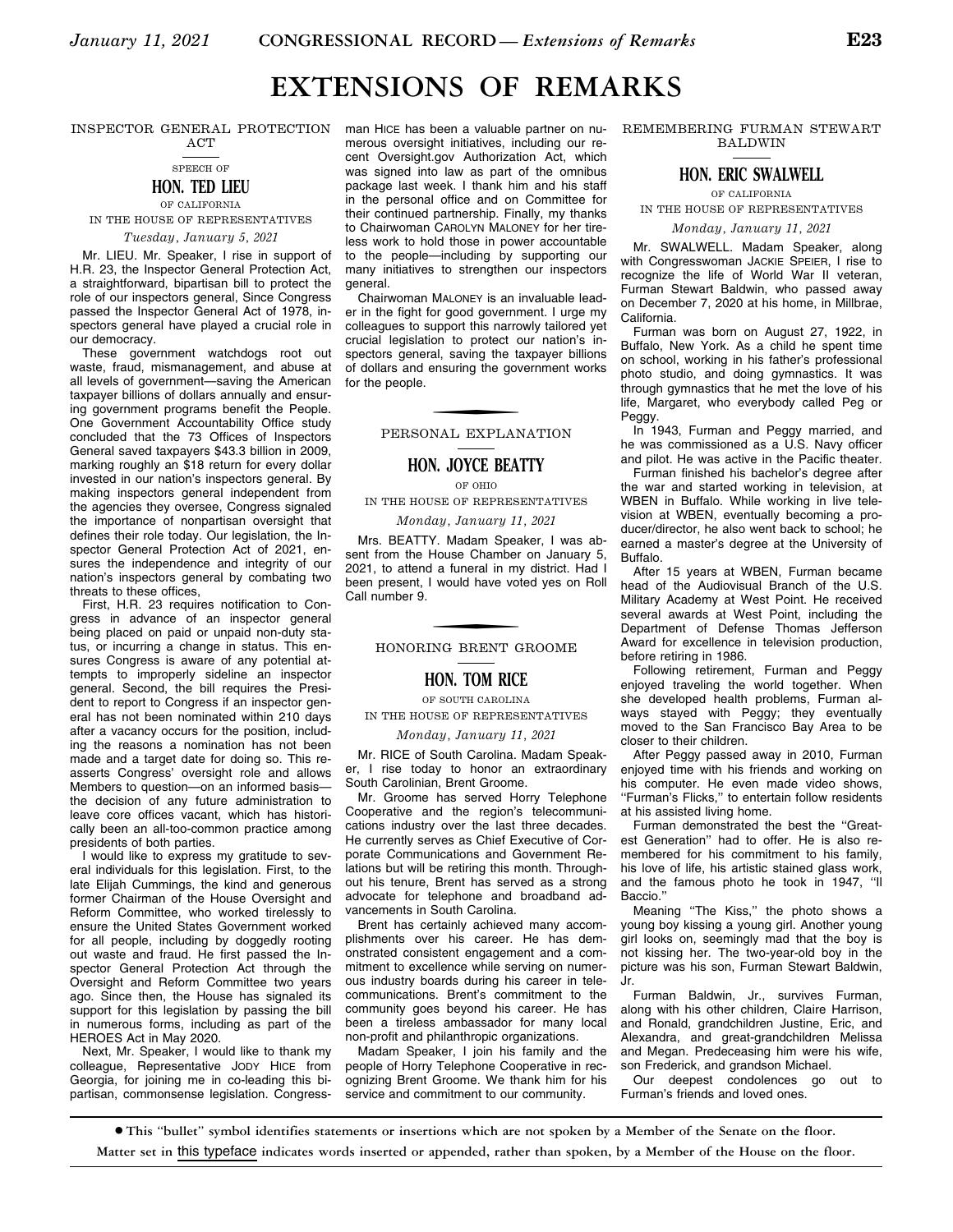### **EXTENSIONS OF REMARKS**

ACT



### **HON. TED LIEU**  OF CALIFORNIA

IN THE HOUSE OF REPRESENTATIVES *Tuesday, January 5, 2021* 

Mr. LIEU. Mr. Speaker, I rise in support of H.R. 23, the Inspector General Protection Act, a straightforward, bipartisan bill to protect the role of our inspectors general, Since Congress passed the Inspector General Act of 1978, inspectors general have played a crucial role in our democracy.

These government watchdogs root out waste, fraud, mismanagement, and abuse at all levels of government—saving the American taxpayer billions of dollars annually and ensuring government programs benefit the People. One Government Accountability Office study concluded that the 73 Offices of Inspectors General saved taxpayers \$43.3 billion in 2009, marking roughly an \$18 return for every dollar invested in our nation's inspectors general. By making inspectors general independent from the agencies they oversee, Congress signaled the importance of nonpartisan oversight that defines their role today. Our legislation, the Inspector General Protection Act of 2021, ensures the independence and integrity of our nation's inspectors general by combating two threats to these offices,

First, H.R. 23 requires notification to Congress in advance of an inspector general being placed on paid or unpaid non-duty status, or incurring a change in status. This ensures Congress is aware of any potential attempts to improperly sideline an inspector general. Second, the bill requires the President to report to Congress if an inspector general has not been nominated within 210 days after a vacancy occurs for the position, including the reasons a nomination has not been made and a target date for doing so. This reasserts Congress' oversight role and allows Members to question—on an informed basis the decision of any future administration to leave core offices vacant, which has historically been an all-too-common practice among presidents of both parties.

I would like to express my gratitude to several individuals for this legislation. First, to the late Elijah Cummings, the kind and generous former Chairman of the House Oversight and Reform Committee, who worked tirelessly to ensure the United States Government worked for all people, including by doggedly rooting out waste and fraud. He first passed the Inspector General Protection Act through the Oversight and Reform Committee two years ago. Since then, the House has signaled its support for this legislation by passing the bill in numerous forms, including as part of the HEROES Act in May 2020.

Next, Mr. Speaker, I would like to thank my colleague, Representative JODY HICE from Georgia, for joining me in co-leading this bipartisan, commonsense legislation. Congress-

INSPECTOR GENERAL PROTECTION man HICE has been a valuable partner on numerous oversight initiatives, including our recent Oversight.gov Authorization Act, which was signed into law as part of the omnibus package last week. I thank him and his staff in the personal office and on Committee for their continued partnership. Finally, my thanks to Chairwoman CAROLYN MALONEY for her tireless work to hold those in power accountable to the people—including by supporting our many initiatives to strengthen our inspectors general.

> Chairwoman MALONEY is an invaluable leader in the fight for good government. I urge my colleagues to support this narrowly tailored yet crucial legislation to protect our nation's inspectors general, saving the taxpayer billions of dollars and ensuring the government works for the people.

> > PERSONAL EXPLANATION

### **HON. JOYCE BEATTY**

OF OHIO

IN THE HOUSE OF REPRESENTATIVES

*Monday, January 11, 2021* 

Mrs. BEATTY. Madam Speaker, I was absent from the House Chamber on January 5, 2021, to attend a funeral in my district. Had I been present, I would have voted yes on Roll Call number 9.

HONORING BRENT GROOME

### **HON. TOM RICE**

OF SOUTH CAROLINA IN THE HOUSE OF REPRESENTATIVES

#### *Monday, January 11, 2021*

Mr. RICE of South Carolina. Madam Speaker, I rise today to honor an extraordinary South Carolinian, Brent Groome.

Mr. Groome has served Horry Telephone Cooperative and the region's telecommunications industry over the last three decades. He currently serves as Chief Executive of Corporate Communications and Government Relations but will be retiring this month. Throughout his tenure, Brent has served as a strong advocate for telephone and broadband advancements in South Carolina.

Brent has certainly achieved many accomplishments over his career. He has demonstrated consistent engagement and a commitment to excellence while serving on numerous industry boards during his career in telecommunications. Brent's commitment to the community goes beyond his career. He has been a tireless ambassador for many local non-profit and philanthropic organizations.

Madam Speaker, I join his family and the people of Horry Telephone Cooperative in recognizing Brent Groome. We thank him for his service and commitment to our community.

REMEMBERING FURMAN STEWART BALDWIN

### **HON. ERIC SWALWELL**

OF CALIFORNIA

IN THE HOUSE OF REPRESENTATIVES

*Monday, January 11, 2021* 

Mr. SWALWELL. Madam Speaker, along with Congresswoman JACKIE SPEIER, I rise to recognize the life of World War II veteran, Furman Stewart Baldwin, who passed away on December 7, 2020 at his home, in Millbrae, California.

Furman was born on August 27, 1922, in Buffalo, New York. As a child he spent time on school, working in his father's professional photo studio, and doing gymnastics. It was through gymnastics that he met the love of his life, Margaret, who everybody called Peg or Peggy.

In 1943, Furman and Peggy married, and he was commissioned as a U.S. Navy officer and pilot. He was active in the Pacific theater.

Furman finished his bachelor's degree after the war and started working in television, at WBEN in Buffalo. While working in live television at WBEN, eventually becoming a producer/director, he also went back to school; he earned a master's degree at the University of Buffalo.

After 15 years at WBEN, Furman became head of the Audiovisual Branch of the U.S. Military Academy at West Point. He received several awards at West Point, including the Department of Defense Thomas Jefferson Award for excellence in television production, before retiring in 1986.

Following retirement, Furman and Peggy enjoyed traveling the world together. When she developed health problems, Furman always stayed with Peggy; they eventually moved to the San Francisco Bay Area to be closer to their children.

After Peggy passed away in 2010, Furman enjoyed time with his friends and working on his computer. He even made video shows, ''Furman's Flicks,'' to entertain follow residents at his assisted living home.

Furman demonstrated the best the ''Greatest Generation'' had to offer. He is also remembered for his commitment to his family, his love of life, his artistic stained glass work, and the famous photo he took in 1947, ''Il Baccio.''

Meaning ''The Kiss,'' the photo shows a young boy kissing a young girl. Another young girl looks on, seemingly mad that the boy is not kissing her. The two-year-old boy in the picture was his son, Furman Stewart Baldwin, Jr.

Furman Baldwin, Jr., survives Furman, along with his other children, Claire Harrison, and Ronald, grandchildren Justine, Eric, and Alexandra, and great-grandchildren Melissa and Megan. Predeceasing him were his wife, son Frederick, and grandson Michael.

Our deepest condolences go out to Furman's friends and loved ones.

∑ **This ''bullet'' symbol identifies statements or insertions which are not spoken by a Member of the Senate on the floor.**

**Matter set in** this typeface **indicates words inserted or appended, rather than spoken, by a Member of the House on the floor.**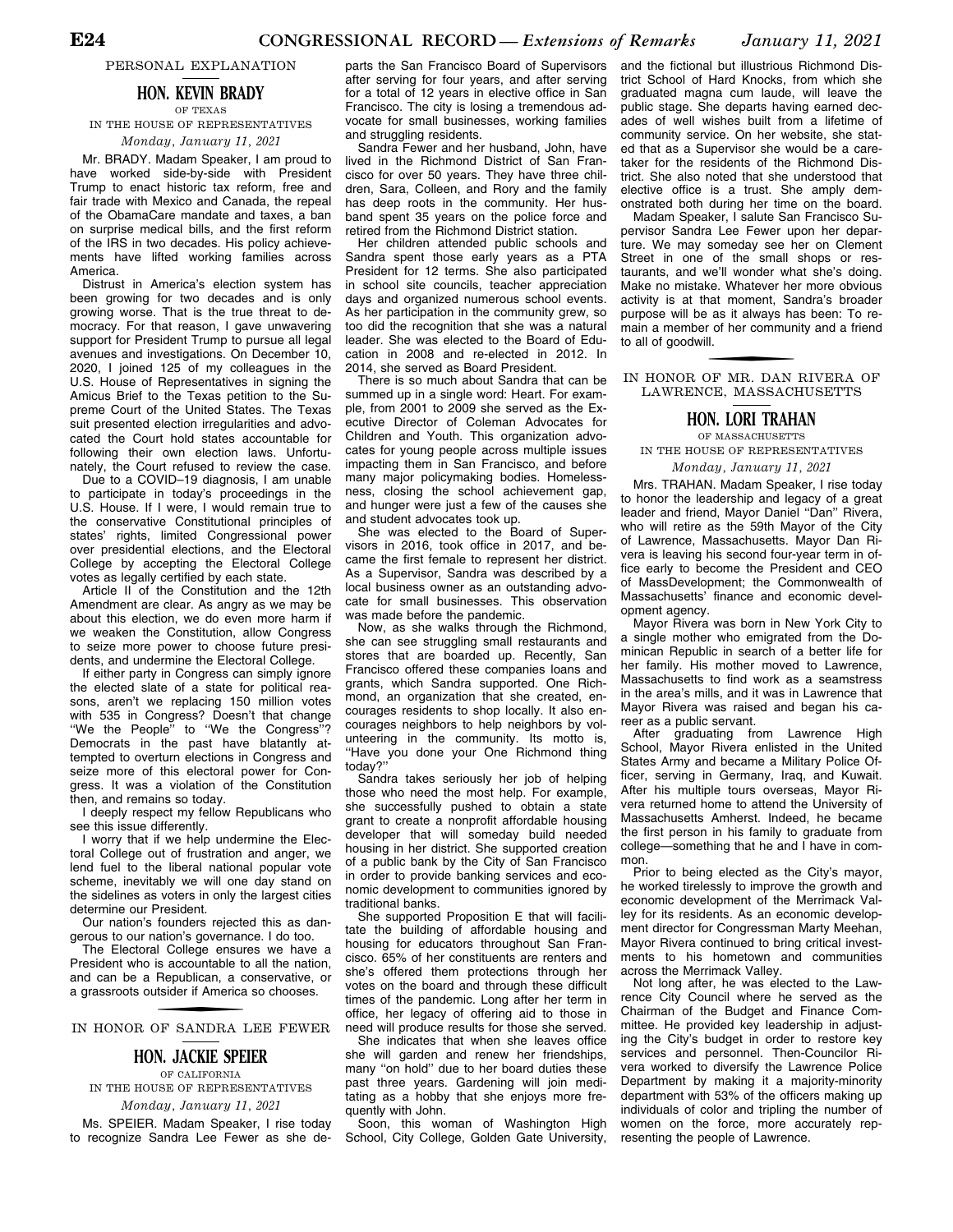PERSONAL EXPLANATION

### **HON. KEVIN BRADY** OF TEXAS

IN THE HOUSE OF REPRESENTATIVES *Monday, January 11, 2021* 

Mr. BRADY. Madam Speaker, I am proud to have worked side-by-side with President Trump to enact historic tax reform, free and fair trade with Mexico and Canada, the repeal of the ObamaCare mandate and taxes, a ban on surprise medical bills, and the first reform of the IRS in two decades. His policy achievements have lifted working families across America.

Distrust in America's election system has been growing for two decades and is only growing worse. That is the true threat to democracy. For that reason, I gave unwavering support for President Trump to pursue all legal avenues and investigations. On December 10, 2020, I joined 125 of my colleagues in the U.S. House of Representatives in signing the Amicus Brief to the Texas petition to the Supreme Court of the United States. The Texas suit presented election irregularities and advocated the Court hold states accountable for following their own election laws. Unfortunately, the Court refused to review the case.

Due to a COVID–19 diagnosis, I am unable to participate in today's proceedings in the U.S. House. If I were, I would remain true to the conservative Constitutional principles of states' rights, limited Congressional power over presidential elections, and the Electoral College by accepting the Electoral College votes as legally certified by each state.

Article II of the Constitution and the 12th Amendment are clear. As angry as we may be about this election, we do even more harm if we weaken the Constitution, allow Congress to seize more power to choose future presidents, and undermine the Electoral College.

If either party in Congress can simply ignore the elected slate of a state for political reasons, aren't we replacing 150 million votes with 535 in Congress? Doesn't that change ''We the People'' to ''We the Congress''? Democrats in the past have blatantly attempted to overturn elections in Congress and seize more of this electoral power for Congress. It was a violation of the Constitution then, and remains so today.

I deeply respect my fellow Republicans who see this issue differently.

I worry that if we help undermine the Electoral College out of frustration and anger, we lend fuel to the liberal national popular vote scheme, inevitably we will one day stand on the sidelines as voters in only the largest cities determine our President.

Our nation's founders rejected this as dangerous to our nation's governance. I do too.

The Electoral College ensures we have a President who is accountable to all the nation, and can be a Republican, a conservative, or a grassroots outsider if America so chooses.

f IN HONOR OF SANDRA LEE FEWER

### **HON. JACKIE SPEIER**

OF CALIFORNIA IN THE HOUSE OF REPRESENTATIVES *Monday, January 11, 2021* 

Ms. SPEIER. Madam Speaker, I rise today to recognize Sandra Lee Fewer as she de-

parts the San Francisco Board of Supervisors after serving for four years, and after serving for a total of 12 years in elective office in San Francisco. The city is losing a tremendous advocate for small businesses, working families and struggling residents.

Sandra Fewer and her husband, John, have lived in the Richmond District of San Francisco for over 50 years. They have three children, Sara, Colleen, and Rory and the family has deep roots in the community. Her husband spent 35 years on the police force and retired from the Richmond District station.

Her children attended public schools and Sandra spent those early years as a PTA President for 12 terms. She also participated in school site councils, teacher appreciation days and organized numerous school events. As her participation in the community grew, so too did the recognition that she was a natural leader. She was elected to the Board of Education in 2008 and re-elected in 2012. In 2014, she served as Board President.

There is so much about Sandra that can be summed up in a single word: Heart. For example, from 2001 to 2009 she served as the Executive Director of Coleman Advocates for Children and Youth. This organization advocates for young people across multiple issues impacting them in San Francisco, and before many major policymaking bodies. Homelessness, closing the school achievement gap, and hunger were just a few of the causes she and student advocates took up.

She was elected to the Board of Supervisors in 2016, took office in 2017, and became the first female to represent her district. As a Supervisor, Sandra was described by a local business owner as an outstanding advocate for small businesses. This observation was made before the pandemic.

Now, as she walks through the Richmond, she can see struggling small restaurants and stores that are boarded up. Recently, San Francisco offered these companies loans and grants, which Sandra supported. One Richmond, an organization that she created, encourages residents to shop locally. It also encourages neighbors to help neighbors by volunteering in the community. Its motto is, ''Have you done your One Richmond thing today?''

Sandra takes seriously her job of helping those who need the most help. For example, she successfully pushed to obtain a state grant to create a nonprofit affordable housing developer that will someday build needed housing in her district. She supported creation of a public bank by the City of San Francisco in order to provide banking services and economic development to communities ignored by traditional banks.

She supported Proposition E that will facilitate the building of affordable housing and housing for educators throughout San Francisco. 65% of her constituents are renters and she's offered them protections through her votes on the board and through these difficult times of the pandemic. Long after her term in office, her legacy of offering aid to those in need will produce results for those she served.

She indicates that when she leaves office she will garden and renew her friendships, many ''on hold'' due to her board duties these past three years. Gardening will join meditating as a hobby that she enjoys more frequently with John.

Soon, this woman of Washington High School, City College, Golden Gate University,

and the fictional but illustrious Richmond District School of Hard Knocks, from which she graduated magna cum laude, will leave the public stage. She departs having earned decades of well wishes built from a lifetime of community service. On her website, she stated that as a Supervisor she would be a caretaker for the residents of the Richmond District. She also noted that she understood that elective office is a trust. She amply demonstrated both during her time on the board.

Madam Speaker, I salute San Francisco Supervisor Sandra Lee Fewer upon her departure. We may someday see her on Clement Street in one of the small shops or restaurants, and we'll wonder what she's doing. Make no mistake. Whatever her more obvious activity is at that moment, Sandra's broader purpose will be as it always has been: To remain a member of her community and a friend to all of goodwill.

f IN HONOR OF MR. DAN RIVERA OF LAWRENCE, MASSACHUSETTS

### **HON. LORI TRAHAN**

OF MASSACHUSETTS IN THE HOUSE OF REPRESENTATIVES

*Monday, January 11, 2021* 

Mrs. TRAHAN. Madam Speaker, I rise today to honor the leadership and legacy of a great leader and friend, Mayor Daniel ''Dan'' Rivera, who will retire as the 59th Mayor of the City of Lawrence, Massachusetts. Mayor Dan Rivera is leaving his second four-year term in office early to become the President and CEO of MassDevelopment; the Commonwealth of Massachusetts' finance and economic development agency.

Mayor Rivera was born in New York City to a single mother who emigrated from the Dominican Republic in search of a better life for her family. His mother moved to Lawrence, Massachusetts to find work as a seamstress in the area's mills, and it was in Lawrence that Mayor Rivera was raised and began his career as a public servant.

After graduating from Lawrence High School, Mayor Rivera enlisted in the United States Army and became a Military Police Officer, serving in Germany, Iraq, and Kuwait. After his multiple tours overseas, Mayor Rivera returned home to attend the University of Massachusetts Amherst. Indeed, he became the first person in his family to graduate from college—something that he and I have in common.

Prior to being elected as the City's mayor, he worked tirelessly to improve the growth and economic development of the Merrimack Valley for its residents. As an economic development director for Congressman Marty Meehan, Mayor Rivera continued to bring critical investments to his hometown and communities across the Merrimack Valley.

Not long after, he was elected to the Lawrence City Council where he served as the Chairman of the Budget and Finance Committee. He provided key leadership in adjusting the City's budget in order to restore key services and personnel. Then-Councilor Rivera worked to diversify the Lawrence Police Department by making it a majority-minority department with 53% of the officers making up individuals of color and tripling the number of women on the force, more accurately representing the people of Lawrence.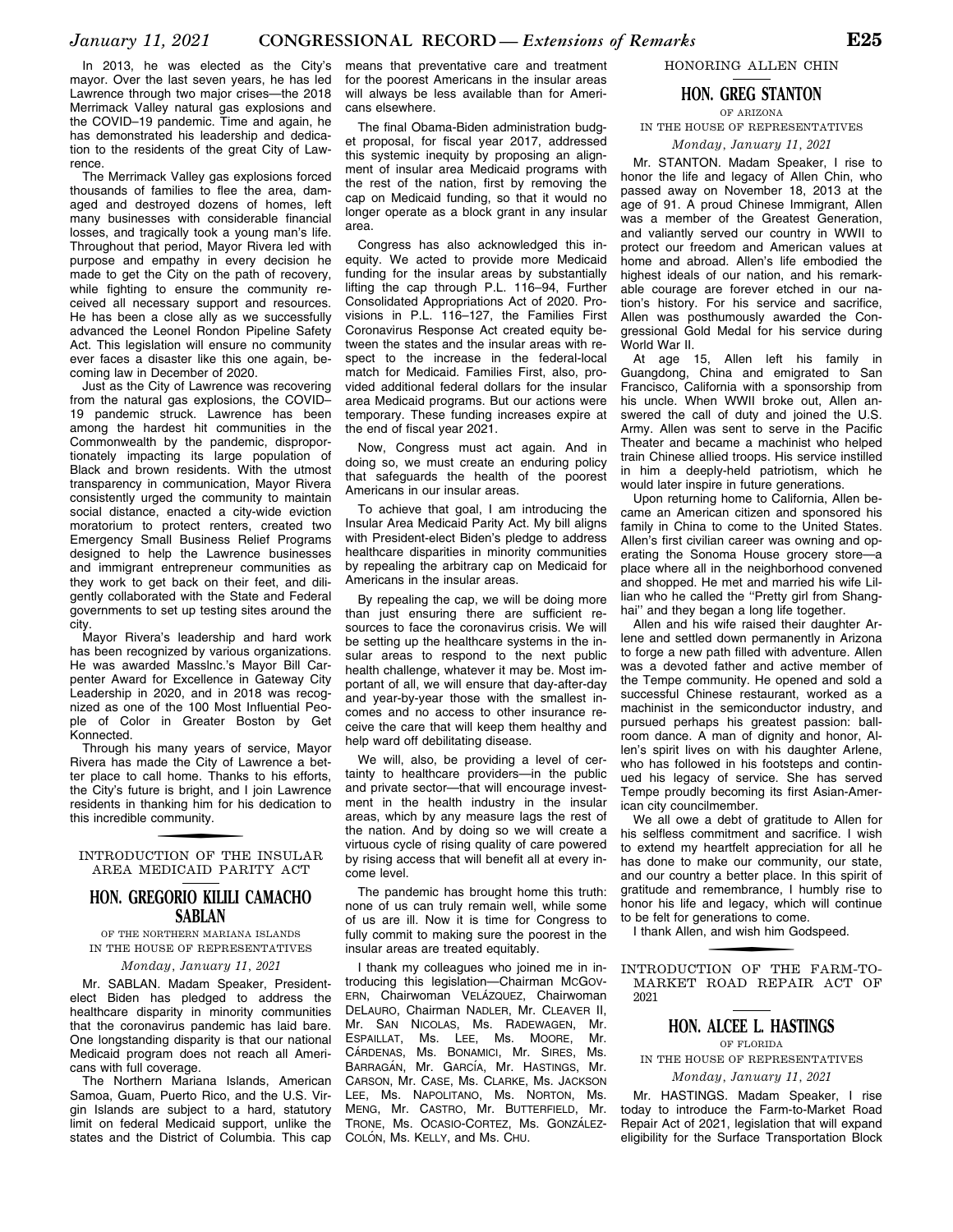In 2013, he was elected as the City's mayor. Over the last seven years, he has led Lawrence through two major crises—the 2018 Merrimack Valley natural gas explosions and the COVID–19 pandemic. Time and again, he has demonstrated his leadership and dedication to the residents of the great City of Lawrence.

The Merrimack Valley gas explosions forced thousands of families to flee the area, damaged and destroyed dozens of homes, left many businesses with considerable financial losses, and tragically took a young man's life. Throughout that period, Mayor Rivera led with purpose and empathy in every decision he made to get the City on the path of recovery, while fighting to ensure the community received all necessary support and resources. He has been a close ally as we successfully advanced the Leonel Rondon Pipeline Safety Act. This legislation will ensure no community ever faces a disaster like this one again, becoming law in December of 2020.

Just as the City of Lawrence was recovering from the natural gas explosions, the COVID– 19 pandemic struck. Lawrence has been among the hardest hit communities in the Commonwealth by the pandemic, disproportionately impacting its large population of Black and brown residents. With the utmost transparency in communication, Mayor Rivera consistently urged the community to maintain social distance, enacted a city-wide eviction moratorium to protect renters, created two Emergency Small Business Relief Programs designed to help the Lawrence businesses and immigrant entrepreneur communities as they work to get back on their feet, and diligently collaborated with the State and Federal governments to set up testing sites around the city.

Mayor Rivera's leadership and hard work has been recognized by various organizations. He was awarded Masslnc.'s Mayor Bill Carpenter Award for Excellence in Gateway City Leadership in 2020, and in 2018 was recognized as one of the 100 Most Influential People of Color in Greater Boston by Get Konnected.

Through his many years of service, Mayor Rivera has made the City of Lawrence a better place to call home. Thanks to his efforts, the City's future is bright, and I join Lawrence residents in thanking him for his dedication to this incredible community.

f INTRODUCTION OF THE INSULAR AREA MEDICAID PARITY ACT

### **HON. GREGORIO KILILI CAMACHO SABLAN**

OF THE NORTHERN MARIANA ISLANDS IN THE HOUSE OF REPRESENTATIVES

#### *Monday, January 11, 2021*

Mr. SABLAN. Madam Speaker, Presidentelect Biden has pledged to address the healthcare disparity in minority communities that the coronavirus pandemic has laid bare. One longstanding disparity is that our national Medicaid program does not reach all Americans with full coverage.

The Northern Mariana Islands, American Samoa, Guam, Puerto Rico, and the U.S. Virgin Islands are subject to a hard, statutory limit on federal Medicaid support, unlike the states and the District of Columbia. This cap

means that preventative care and treatment for the poorest Americans in the insular areas will always be less available than for Americans elsewhere.

The final Obama-Biden administration budget proposal, for fiscal year 2017, addressed this systemic inequity by proposing an alignment of insular area Medicaid programs with the rest of the nation, first by removing the cap on Medicaid funding, so that it would no longer operate as a block grant in any insular area.

Congress has also acknowledged this inequity. We acted to provide more Medicaid funding for the insular areas by substantially lifting the cap through P.L. 116–94, Further Consolidated Appropriations Act of 2020. Provisions in P.L. 116–127, the Families First Coronavirus Response Act created equity between the states and the insular areas with respect to the increase in the federal-local match for Medicaid. Families First, also, provided additional federal dollars for the insular area Medicaid programs. But our actions were temporary. These funding increases expire at the end of fiscal year 2021.

Now, Congress must act again. And in doing so, we must create an enduring policy that safeguards the health of the poorest Americans in our insular areas.

To achieve that goal, I am introducing the Insular Area Medicaid Parity Act. My bill aligns with President-elect Biden's pledge to address healthcare disparities in minority communities by repealing the arbitrary cap on Medicaid for Americans in the insular areas.

By repealing the cap, we will be doing more than just ensuring there are sufficient resources to face the coronavirus crisis. We will be setting up the healthcare systems in the insular areas to respond to the next public health challenge, whatever it may be. Most important of all, we will ensure that day-after-day and year-by-year those with the smallest incomes and no access to other insurance receive the care that will keep them healthy and help ward off debilitating disease.

We will, also, be providing a level of certainty to healthcare providers—in the public and private sector—that will encourage investment in the health industry in the insular areas, which by any measure lags the rest of the nation. And by doing so we will create a virtuous cycle of rising quality of care powered by rising access that will benefit all at every income level.

The pandemic has brought home this truth: none of us can truly remain well, while some of us are ill. Now it is time for Congress to fully commit to making sure the poorest in the insular areas are treated equitably.

I thank my colleagues who joined me in introducing this legislation—Chairman MCGOV-ERN, Chairwoman VELAZQUEZ, Chairwoman DELAURO, Chairman NADLER, Mr. CLEAVER II, Mr. SAN NICOLAS, Ms. RADEWAGEN, Mr. ESPAILLAT, Ms. LEE, Ms. MOORE, Mr. CÁRDENAS, Ms. BONAMICI, Mr. SIRES, Ms. BARRAGÁN, Mr. GARCÍA, Mr. HASTINGS, Mr. CARSON, Mr. CASE, Ms. CLARKE, Ms. JACKSON LEE, Ms. NAPOLITANO, Ms. NORTON, Ms. MENG, Mr. CASTRO, Mr. BUTTERFIELD, Mr. TRONE, Ms. OCASIO-CORTEZ, Ms. GONZÁLEZ-COLÓN, Ms. KELLY, and Ms. CHU.

#### HONORING ALLEN CHIN

### **HON. GREG STANTON** OF ARIZONA

### IN THE HOUSE OF REPRESENTATIVES

### *Monday, January 11, 2021*

Mr. STANTON. Madam Speaker, I rise to honor the life and legacy of Allen Chin, who passed away on November 18, 2013 at the age of 91. A proud Chinese Immigrant, Allen was a member of the Greatest Generation. and valiantly served our country in WWII to protect our freedom and American values at home and abroad. Allen's life embodied the highest ideals of our nation, and his remarkable courage are forever etched in our nation's history. For his service and sacrifice, Allen was posthumously awarded the Congressional Gold Medal for his service during World War II.

At age 15, Allen left his family in Guangdong, China and emigrated to San Francisco, California with a sponsorship from his uncle. When WWII broke out, Allen answered the call of duty and joined the U.S. Army. Allen was sent to serve in the Pacific Theater and became a machinist who helped train Chinese allied troops. His service instilled in him a deeply-held patriotism, which he would later inspire in future generations.

Upon returning home to California, Allen became an American citizen and sponsored his family in China to come to the United States. Allen's first civilian career was owning and operating the Sonoma House grocery store—a place where all in the neighborhood convened and shopped. He met and married his wife Lillian who he called the ''Pretty girl from Shanghai'' and they began a long life together.

Allen and his wife raised their daughter Arlene and settled down permanently in Arizona to forge a new path filled with adventure. Allen was a devoted father and active member of the Tempe community. He opened and sold a successful Chinese restaurant, worked as a machinist in the semiconductor industry, and pursued perhaps his greatest passion: ballroom dance. A man of dignity and honor, Allen's spirit lives on with his daughter Arlene, who has followed in his footsteps and continued his legacy of service. She has served Tempe proudly becoming its first Asian-American city councilmember.

We all owe a debt of gratitude to Allen for his selfless commitment and sacrifice. I wish to extend my heartfelt appreciation for all he has done to make our community, our state, and our country a better place. In this spirit of gratitude and remembrance, I humbly rise to honor his life and legacy, which will continue to be felt for generations to come.

I thank Allen, and wish him Godspeed.

f INTRODUCTION OF THE FARM-TO-MARKET ROAD REPAIR ACT OF 2021

### **HON. ALCEE L. HASTINGS**

#### OF FLORIDA IN THE HOUSE OF REPRESENTATIVES

*Monday, January 11, 2021* 

Mr. HASTINGS. Madam Speaker, I rise today to introduce the Farm-to-Market Road Repair Act of 2021, legislation that will expand eligibility for the Surface Transportation Block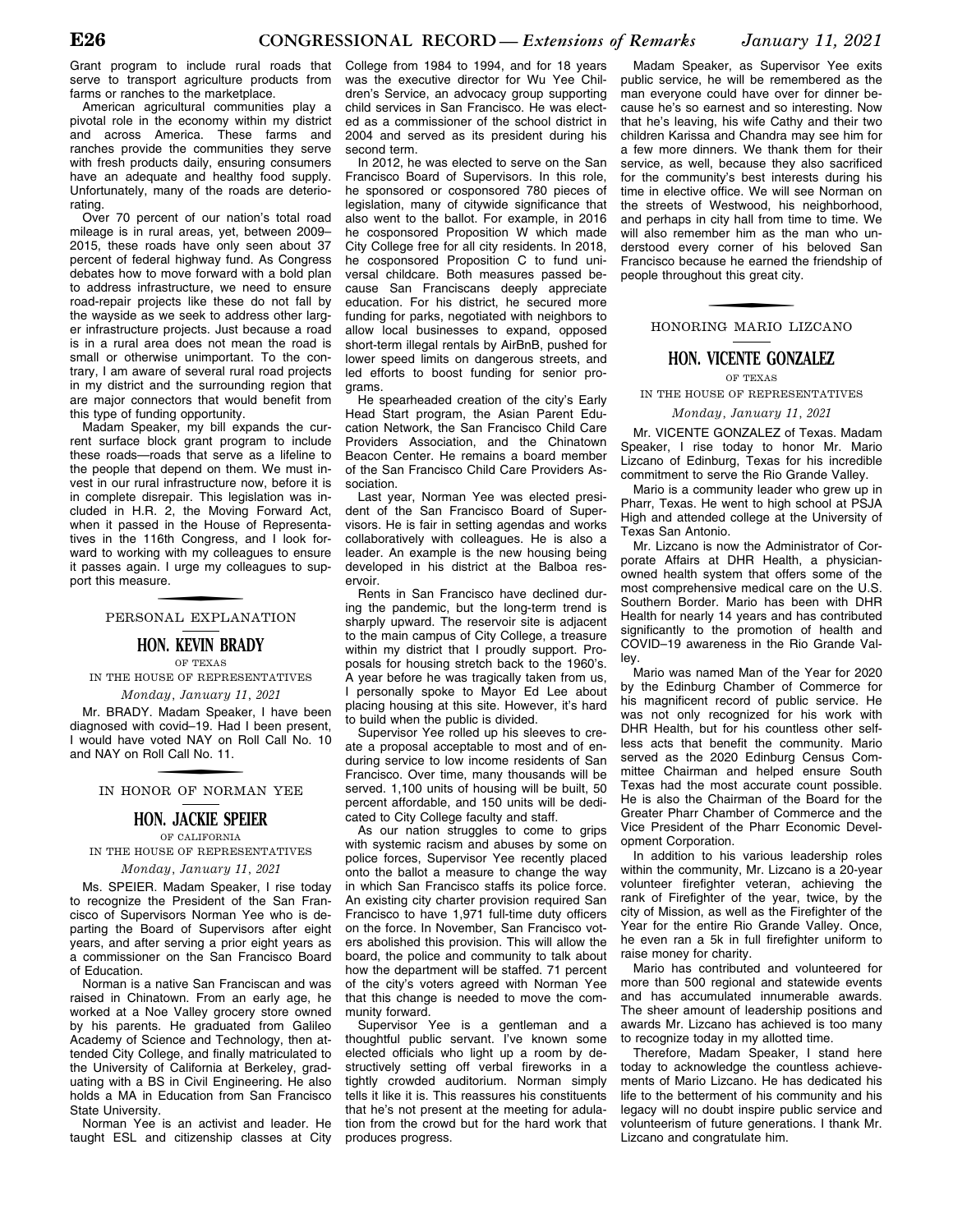American agricultural communities play a pivotal role in the economy within my district and across America. These farms and ranches provide the communities they serve with fresh products daily, ensuring consumers have an adequate and healthy food supply. Unfortunately, many of the roads are deteriorating.

Over 70 percent of our nation's total road mileage is in rural areas, yet, between 2009– 2015, these roads have only seen about 37 percent of federal highway fund. As Congress debates how to move forward with a bold plan to address infrastructure, we need to ensure road-repair projects like these do not fall by the wayside as we seek to address other larger infrastructure projects. Just because a road is in a rural area does not mean the road is small or otherwise unimportant. To the contrary, I am aware of several rural road projects in my district and the surrounding region that are major connectors that would benefit from this type of funding opportunity.

Madam Speaker, my bill expands the current surface block grant program to include these roads—roads that serve as a lifeline to the people that depend on them. We must invest in our rural infrastructure now, before it is in complete disrepair. This legislation was included in H.R. 2, the Moving Forward Act, when it passed in the House of Representatives in the 116th Congress, and I look forward to working with my colleagues to ensure it passes again. I urge my colleagues to support this measure.

### f PERSONAL EXPLANATION

### **HON. KEVIN BRADY**

OF TEXAS IN THE HOUSE OF REPRESENTATIVES

*Monday, January 11, 2021* 

Mr. BRADY. Madam Speaker, I have been diagnosed with covid–19. Had I been present, I would have voted NAY on Roll Call No. 10 and NAY on Roll Call No. 11.

### f IN HONOR OF NORMAN YEE

### **HON. JACKIE SPEIER**

OF CALIFORNIA

IN THE HOUSE OF REPRESENTATIVES

### *Monday, January 11, 2021*

Ms. SPEIER. Madam Speaker, I rise today to recognize the President of the San Francisco of Supervisors Norman Yee who is departing the Board of Supervisors after eight years, and after serving a prior eight years as a commissioner on the San Francisco Board of Education.

Norman is a native San Franciscan and was raised in Chinatown. From an early age, he worked at a Noe Valley grocery store owned by his parents. He graduated from Galileo Academy of Science and Technology, then attended City College, and finally matriculated to the University of California at Berkeley, graduating with a BS in Civil Engineering. He also holds a MA in Education from San Francisco State University.

Norman Yee is an activist and leader. He taught ESL and citizenship classes at City

College from 1984 to 1994, and for 18 years was the executive director for Wu Yee Children's Service, an advocacy group supporting child services in San Francisco. He was elected as a commissioner of the school district in 2004 and served as its president during his second term.

In 2012, he was elected to serve on the San Francisco Board of Supervisors. In this role, he sponsored or cosponsored 780 pieces of legislation, many of citywide significance that also went to the ballot. For example, in 2016 he cosponsored Proposition W which made City College free for all city residents. In 2018, he cosponsored Proposition C to fund universal childcare. Both measures passed because San Franciscans deeply appreciate education. For his district, he secured more funding for parks, negotiated with neighbors to allow local businesses to expand, opposed short-term illegal rentals by AirBnB, pushed for lower speed limits on dangerous streets, and led efforts to boost funding for senior programs.

He spearheaded creation of the city's Early Head Start program, the Asian Parent Education Network, the San Francisco Child Care Providers Association, and the Chinatown Beacon Center. He remains a board member of the San Francisco Child Care Providers Association.

Last year, Norman Yee was elected president of the San Francisco Board of Supervisors. He is fair in setting agendas and works collaboratively with colleagues. He is also a leader. An example is the new housing being developed in his district at the Balboa reservoir.

Rents in San Francisco have declined during the pandemic, but the long-term trend is sharply upward. The reservoir site is adjacent to the main campus of City College, a treasure within my district that I proudly support. Proposals for housing stretch back to the 1960's. A year before he was tragically taken from us, I personally spoke to Mayor Ed Lee about placing housing at this site. However, it's hard to build when the public is divided.

Supervisor Yee rolled up his sleeves to create a proposal acceptable to most and of enduring service to low income residents of San Francisco. Over time, many thousands will be served. 1,100 units of housing will be built, 50 percent affordable, and 150 units will be dedicated to City College faculty and staff.

As our nation struggles to come to grips with systemic racism and abuses by some on police forces, Supervisor Yee recently placed onto the ballot a measure to change the way in which San Francisco staffs its police force. An existing city charter provision required San Francisco to have 1,971 full-time duty officers on the force. In November, San Francisco voters abolished this provision. This will allow the board, the police and community to talk about how the department will be staffed. 71 percent of the city's voters agreed with Norman Yee that this change is needed to move the community forward.

Supervisor Yee is a gentleman and a thoughtful public servant. I've known some elected officials who light up a room by destructively setting off verbal fireworks in a tightly crowded auditorium. Norman simply tells it like it is. This reassures his constituents that he's not present at the meeting for adulation from the crowd but for the hard work that produces progress.

Madam Speaker, as Supervisor Yee exits public service, he will be remembered as the man everyone could have over for dinner because he's so earnest and so interesting. Now that he's leaving, his wife Cathy and their two children Karissa and Chandra may see him for a few more dinners. We thank them for their service, as well, because they also sacrificed for the community's best interests during his time in elective office. We will see Norman on the streets of Westwood, his neighborhood, and perhaps in city hall from time to time. We will also remember him as the man who understood every corner of his beloved San Francisco because he earned the friendship of people throughout this great city.

HONORING MARIO LIZCANO

### **HON. VICENTE GONZALEZ**

#### OF TEXAS

IN THE HOUSE OF REPRESENTATIVES

*Monday, January 11, 2021* 

Mr. VICENTE GONZALEZ of Texas. Madam Speaker, I rise today to honor Mr. Mario Lizcano of Edinburg, Texas for his incredible commitment to serve the Rio Grande Valley.

Mario is a community leader who grew up in Pharr, Texas. He went to high school at PSJA High and attended college at the University of Texas San Antonio.

Mr. Lizcano is now the Administrator of Corporate Affairs at DHR Health, a physicianowned health system that offers some of the most comprehensive medical care on the U.S. Southern Border. Mario has been with DHR Health for nearly 14 years and has contributed significantly to the promotion of health and COVID–19 awareness in the Rio Grande Valley.

Mario was named Man of the Year for 2020 by the Edinburg Chamber of Commerce for his magnificent record of public service. He was not only recognized for his work with DHR Health, but for his countless other selfless acts that benefit the community. Mario served as the 2020 Edinburg Census Committee Chairman and helped ensure South Texas had the most accurate count possible. He is also the Chairman of the Board for the Greater Pharr Chamber of Commerce and the Vice President of the Pharr Economic Development Corporation.

In addition to his various leadership roles within the community, Mr. Lizcano is a 20-year volunteer firefighter veteran, achieving the rank of Firefighter of the year, twice, by the city of Mission, as well as the Firefighter of the Year for the entire Rio Grande Valley. Once, he even ran a 5k in full firefighter uniform to raise money for charity.

Mario has contributed and volunteered for more than 500 regional and statewide events and has accumulated innumerable awards. The sheer amount of leadership positions and awards Mr. Lizcano has achieved is too many to recognize today in my allotted time.

Therefore, Madam Speaker, I stand here today to acknowledge the countless achievements of Mario Lizcano. He has dedicated his life to the betterment of his community and his legacy will no doubt inspire public service and volunteerism of future generations. I thank Mr. Lizcano and congratulate him.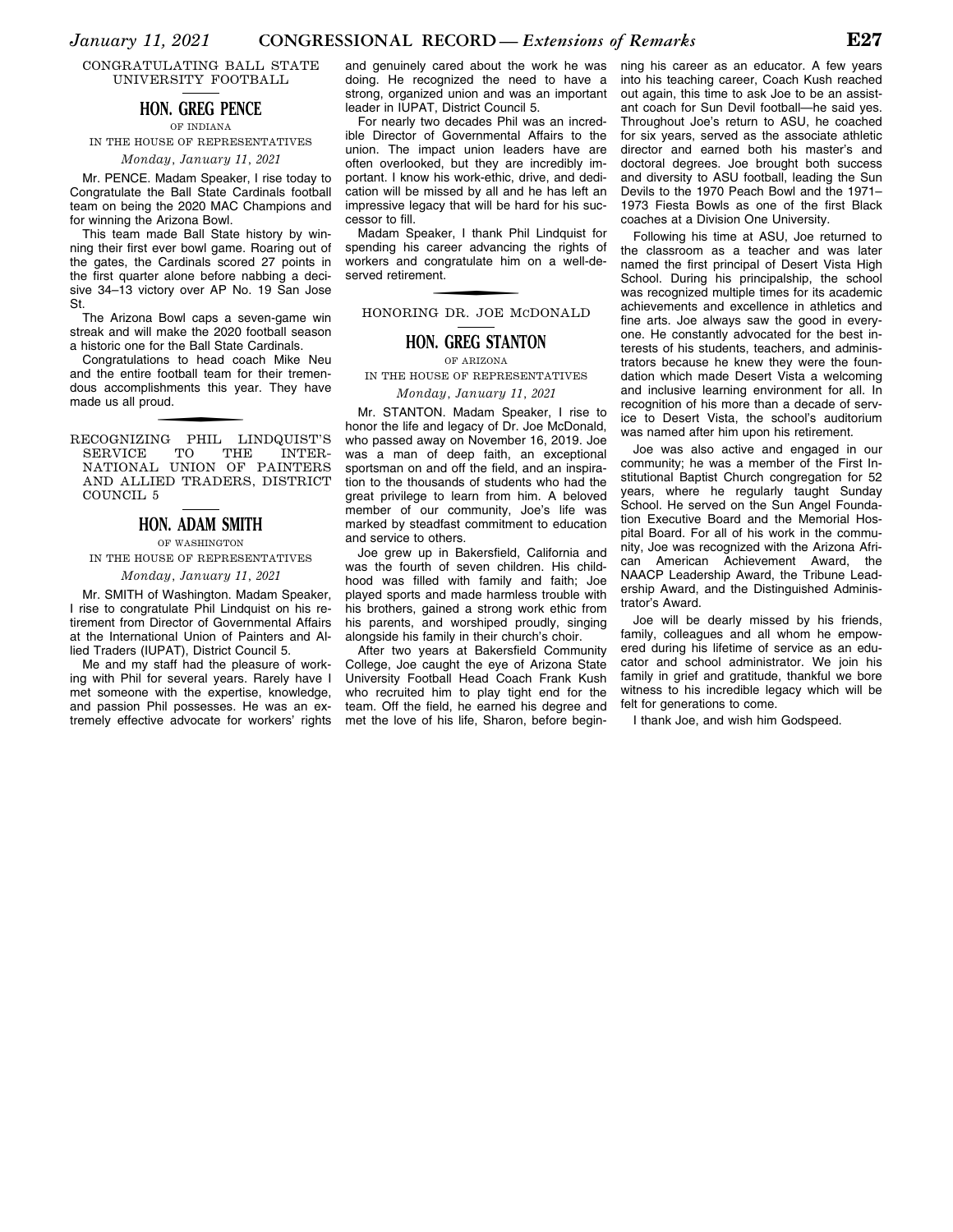CONGRATULATING BALL STATE UNIVERSITY FOOTBALL

### **HON. GREG PENCE**

OF INDIANA

IN THE HOUSE OF REPRESENTATIVES

### *Monday, January 11, 2021*

Mr. PENCE. Madam Speaker, I rise today to Congratulate the Ball State Cardinals football team on being the 2020 MAC Champions and for winning the Arizona Bowl.

This team made Ball State history by winning their first ever bowl game. Roaring out of the gates, the Cardinals scored 27 points in the first quarter alone before nabbing a decisive 34–13 victory over AP No. 19 San Jose St.

The Arizona Bowl caps a seven-game win streak and will make the 2020 football season a historic one for the Ball State Cardinals.

Congratulations to head coach Mike Neu and the entire football team for their tremendous accomplishments this year. They have made us all proud.

f RECOGNIZING PHIL LINDQUIST'S SERVICE TO THE INTER-NATIONAL UNION OF PAINTERS AND ALLIED TRADERS, DISTRICT COUNCIL<sub>5</sub>

### **HON. ADAM SMITH**

OF WASHINGTON IN THE HOUSE OF REPRESENTATIVES

#### *Monday, January 11, 2021*

Mr. SMITH of Washington. Madam Speaker, I rise to congratulate Phil Lindquist on his retirement from Director of Governmental Affairs at the International Union of Painters and Allied Traders (IUPAT), District Council 5.

Me and my staff had the pleasure of working with Phil for several years. Rarely have I met someone with the expertise, knowledge, and passion Phil possesses. He was an extremely effective advocate for workers' rights

and genuinely cared about the work he was doing. He recognized the need to have a strong, organized union and was an important leader in IUPAT, District Council 5.

For nearly two decades Phil was an incredible Director of Governmental Affairs to the union. The impact union leaders have are often overlooked, but they are incredibly important. I know his work-ethic, drive, and dedication will be missed by all and he has left an impressive legacy that will be hard for his successor to fill.

Madam Speaker, I thank Phil Lindquist for spending his career advancing the rights of workers and congratulate him on a well-deserved retirement.

f HONORING DR. JOE MCDONALD

### **HON. GREG STANTON**

OF ARIZONA

IN THE HOUSE OF REPRESENTATIVES

*Monday, January 11, 2021* 

Mr. STANTON. Madam Speaker, I rise to honor the life and legacy of Dr. Joe McDonald, who passed away on November 16, 2019. Joe was a man of deep faith, an exceptional sportsman on and off the field, and an inspiration to the thousands of students who had the great privilege to learn from him. A beloved member of our community, Joe's life was marked by steadfast commitment to education and service to others.

Joe grew up in Bakersfield, California and was the fourth of seven children. His childhood was filled with family and faith; Joe played sports and made harmless trouble with his brothers, gained a strong work ethic from his parents, and worshiped proudly, singing alongside his family in their church's choir.

After two years at Bakersfield Community College, Joe caught the eye of Arizona State University Football Head Coach Frank Kush who recruited him to play tight end for the team. Off the field, he earned his degree and met the love of his life, Sharon, before begin-

ning his career as an educator. A few years into his teaching career, Coach Kush reached out again, this time to ask Joe to be an assistant coach for Sun Devil football—he said yes. Throughout Joe's return to ASU, he coached for six years, served as the associate athletic director and earned both his master's and doctoral degrees. Joe brought both success and diversity to ASU football, leading the Sun Devils to the 1970 Peach Bowl and the 1971– 1973 Fiesta Bowls as one of the first Black coaches at a Division One University.

Following his time at ASU, Joe returned to the classroom as a teacher and was later named the first principal of Desert Vista High School. During his principalship, the school was recognized multiple times for its academic achievements and excellence in athletics and fine arts. Joe always saw the good in everyone. He constantly advocated for the best interests of his students, teachers, and administrators because he knew they were the foundation which made Desert Vista a welcoming and inclusive learning environment for all. In recognition of his more than a decade of service to Desert Vista, the school's auditorium was named after him upon his retirement.

Joe was also active and engaged in our community; he was a member of the First Institutional Baptist Church congregation for 52 years, where he regularly taught Sunday School. He served on the Sun Angel Foundation Executive Board and the Memorial Hospital Board. For all of his work in the community, Joe was recognized with the Arizona African American Achievement Award, the NAACP Leadership Award, the Tribune Leadership Award, and the Distinguished Administrator's Award.

Joe will be dearly missed by his friends, family, colleagues and all whom he empowered during his lifetime of service as an educator and school administrator. We join his family in grief and gratitude, thankful we bore witness to his incredible legacy which will be felt for generations to come.

I thank Joe, and wish him Godspeed.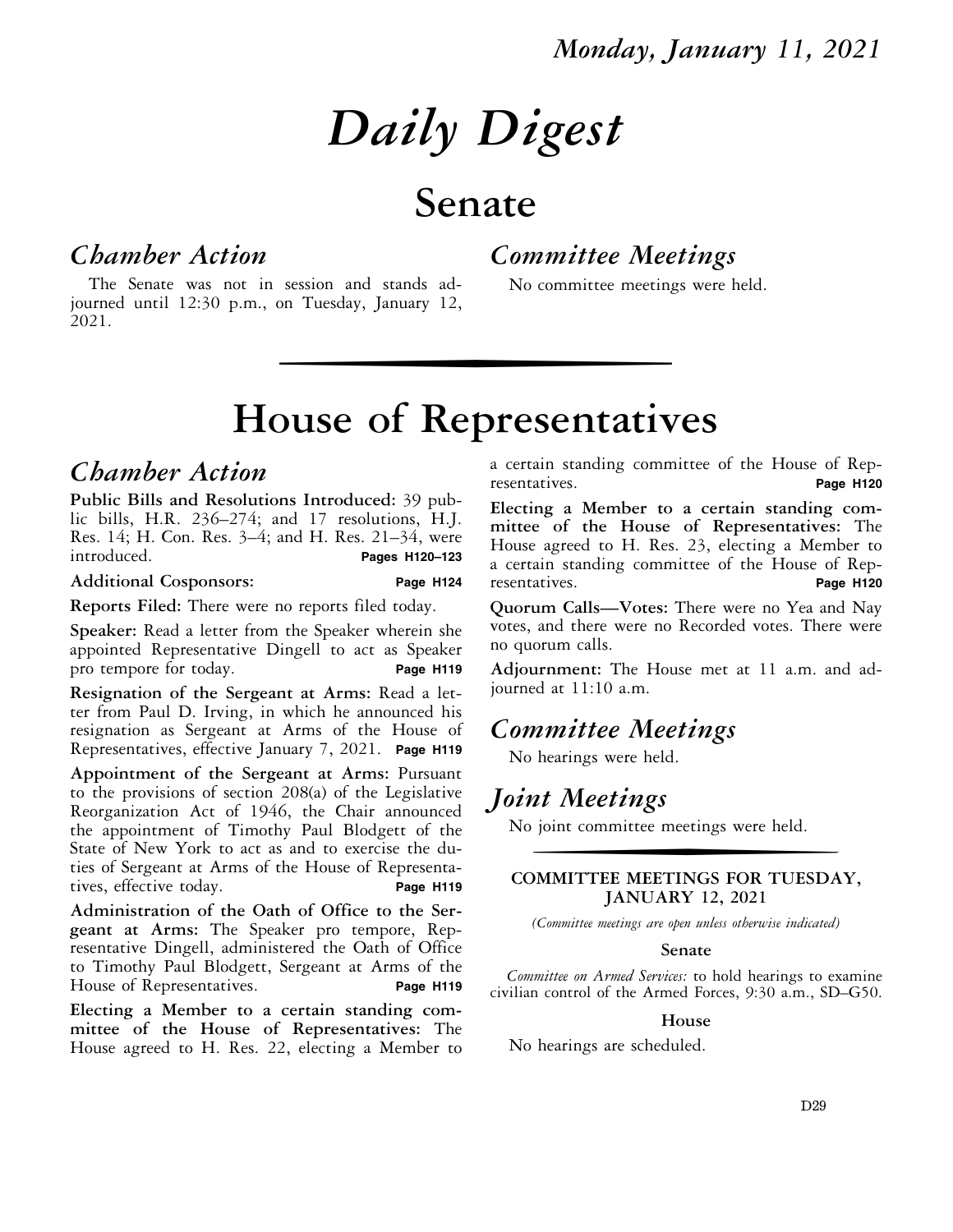# *Daily Digest*

## **Senate**

### *Chamber Action*

*Committee Meetings* 

No committee meetings were held.

The Senate was not in session and stands adjourned until 12:30 p.m., on Tuesday, January 12, 2021.

## wise of Representative **House of Representatives**

### *Chamber Action*

**Public Bills and Resolutions Introduced:** 39 public bills, H.R. 236–274; and 17 resolutions, H.J. Res. 14; H. Con. Res. 3–4; and H. Res. 21–34, were<br>introduced. **Pages H120–123** introduced. **Pages H120–123** 

### **Additional Cosponsors: Page H124**

**Reports Filed:** There were no reports filed today.

**Speaker:** Read a letter from the Speaker wherein she appointed Representative Dingell to act as Speaker pro tempore for today. **Page H119** 

**Resignation of the Sergeant at Arms:** Read a letter from Paul D. Irving, in which he announced his resignation as Sergeant at Arms of the House of Representatives, effective January 7, 2021. **Page H119** 

**Appointment of the Sergeant at Arms:** Pursuant to the provisions of section 208(a) of the Legislative Reorganization Act of 1946, the Chair announced the appointment of Timothy Paul Blodgett of the State of New York to act as and to exercise the duties of Sergeant at Arms of the House of Representatives, effective today. **Page H119** 

**Administration of the Oath of Office to the Sergeant at Arms:** The Speaker pro tempore, Representative Dingell, administered the Oath of Office to Timothy Paul Blodgett, Sergeant at Arms of the House of Representatives. **Page H119** 

**Electing a Member to a certain standing committee of the House of Representatives:** The House agreed to H. Res. 22, electing a Member to a certain standing committee of the House of Representatives. **Page H120** 

**Electing a Member to a certain standing committee of the House of Representatives:** The House agreed to H. Res. 23, electing a Member to a certain standing committee of the House of Representatives. **Page H120** 

**Quorum Calls—Votes:** There were no Yea and Nay votes, and there were no Recorded votes. There were no quorum calls.

**Adjournment:** The House met at 11 a.m. and adjourned at 11:10 a.m.

### *Committee Meetings*

No hearings were held.

### *Joint Meetings*

No joint committee meetings were held.

### **COMMITTEE MEETINGS FOR TUESDAY, JANUARY 12, 2021**

*(Committee meetings are open unless otherwise indicated)* 

### **Senate**

*Committee on Armed Services:* to hold hearings to examine civilian control of the Armed Forces, 9:30 a.m., SD–G50.

### **House**

No hearings are scheduled.